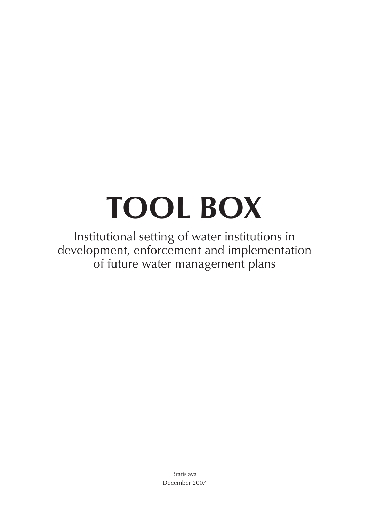# **TOOL BOX**

Institutional setting of water institutions in development, enforcement and implementation of future water management plans

> Bratislava December 2007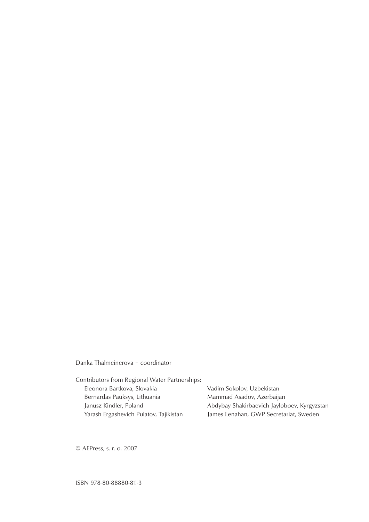# Danka Thalmeinerova – coordinator

| Vadim Sokolov, Uzbekistan                   |
|---------------------------------------------|
| Mammad Asadov, Azerbaijan                   |
| Abdybay Shakirbaevich Jayloboev, Kyrgyzstan |
| James Lenahan, GWP Secretariat, Sweden      |
|                                             |

© AEPress, s. r. o. 2007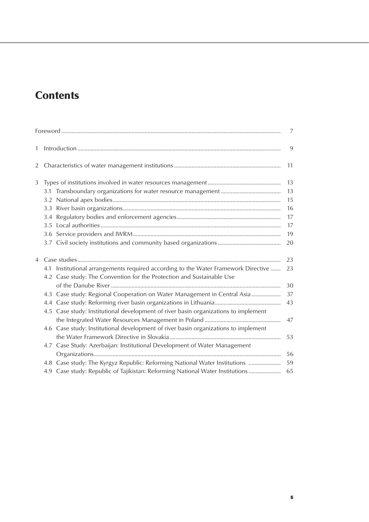# **Contents**

|                |                                                                                       | $\overline{7}$ |
|----------------|---------------------------------------------------------------------------------------|----------------|
| 1              |                                                                                       | 9              |
| $\overline{2}$ |                                                                                       | 11             |
| 3              |                                                                                       | 13             |
|                |                                                                                       | 13             |
|                |                                                                                       | 15             |
|                |                                                                                       | 16             |
|                |                                                                                       | 17             |
|                |                                                                                       | 17             |
|                |                                                                                       | 19             |
|                |                                                                                       | 20             |
| $\overline{4}$ |                                                                                       | 23             |
|                | Institutional arrangements required according to the Water Framework Directive<br>4.1 | 23             |
|                | 4.2 Case study: The Convention for the Protection and Sustainable Use                 |                |
|                |                                                                                       | 30             |
|                | 4.3 Case study: Regional Cooperation on Water Management in Central Asia              | 37             |
|                |                                                                                       | 43             |
|                | 4.5 Case study: Institutional development of river basin organizations to implement   |                |
|                |                                                                                       | 47             |
|                | 4.6 Case study: Institutional development of river basin organizations to implement   |                |
|                |                                                                                       | 53             |
|                | 4.7 Case Study: Azerbaijan: Institutional Development of Water Management             |                |
|                |                                                                                       | 56             |
|                | 4.8 Case study: The Kyrgyz Republic: Reforming National Water Institutions            | 59             |
|                | 4.9 Case study: Republic of Tajikistan: Reforming National Water Institutions         | 65             |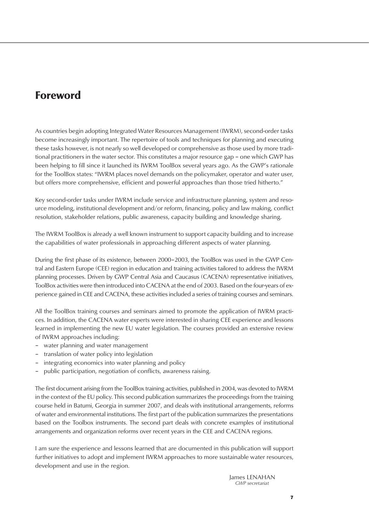# Foreword

As countries begin adopting Integrated Water Resources Management (IWRM), second-order tasks become increasingly important. The repertoire of tools and techniques for planning and executing these tasks however, is not nearly so well developed or comprehensive as those used by more traditional practitioners in the water sector. This constitutes a major resource gap – one which GWP has been helping to fill since it launched its IWRM ToolBox several years ago. As the GWP's rationale for the ToolBox states: "IWRM places novel demands on the policymaker, operator and water user, but offers more comprehensive, efficient and powerful approaches than those tried hitherto."

Key second-order tasks under IWRM include service and infrastructure planning, system and resource modeling, institutional development and/or reform, financing, policy and law making, conflict resolution, stakeholder relations, public awareness, capacity building and knowledge sharing.

The IWRM ToolBox is already a well known instrument to support capacity building and to increase the capabilities of water professionals in approaching different aspects of water planning.

During the first phase of its existence, between 2000–2003, the ToolBox was used in the GWP Central and Eastern Europe (CEE) region in education and training activities tailored to address the IWRM planning processes. Driven by GWP Central Asia and Caucasus (CACENA) representative initiatives, ToolBox activities were then introduced into CACENA at the end of 2003. Based on the four-years of experience gained in CEE and CACENA, these activities included a series of training courses and seminars.

All the ToolBox training courses and seminars aimed to promote the application of IWRM practices. In addition, the CACENA water experts were interested in sharing CEE experience and lessons learned in implementing the new EU water legislation. The courses provided an extensive review of IWRM approaches including:

- water planning and water management
- translation of water policy into legislation
- integrating economics into water planning and policy
- public participation, negotiation of conflicts, awareness raising.

The first document arising from the ToolBox training activities, published in 2004, was devoted to IWRM in the context of the EU policy. This second publication summarizes the proceedings from the training course held in Batumi, Georgia in summer 2007, and deals with institutional arrangements, reforms of water and environmental institutions. The first part of the publication summarizes the presentations based on the Toolbox instruments. The second part deals with concrete examples of institutional arrangements and organization reforms over recent years in the CEE and CACENA regions.

I am sure the experience and lessons learned that are documented in this publication will support further initiatives to adopt and implement IWRM approaches to more sustainable water resources, development and use in the region.

> James LENAHAN *GWP secretariat*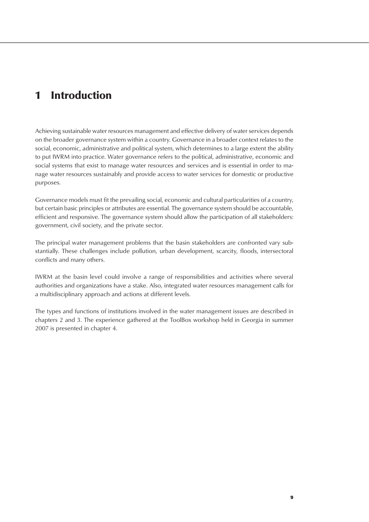# 1 Introduction

Achieving sustainable water resources management and effective delivery of water services depends on the broader governance system within a country. Governance in a broader context relates to the social, economic, administrative and political system, which determines to a large extent the ability to put IWRM into practice. Water governance refers to the political, administrative, economic and social systems that exist to manage water resources and services and is essential in order to manage water resources sustainably and provide access to water services for domestic or productive purposes.

Governance models must fit the prevailing social, economic and cultural particularities of a country, but certain basic principles or attributes are essential. The governance system should be accountable, efficient and responsive. The governance system should allow the participation of all stakeholders: government, civil society, and the private sector.

The principal water management problems that the basin stakeholders are confronted vary substantially. These challenges include pollution, urban development, scarcity, floods, intersectoral conflicts and many others.

IWRM at the basin level could involve a range of responsibilities and activities where several authorities and organizations have a stake. Also, integrated water resources management calls for a multidisciplinary approach and actions at different levels.

The types and functions of institutions involved in the water management issues are described in chapters 2 and 3. The experience gathered at the ToolBox workshop held in Georgia in summer 2007 is presented in chapter 4.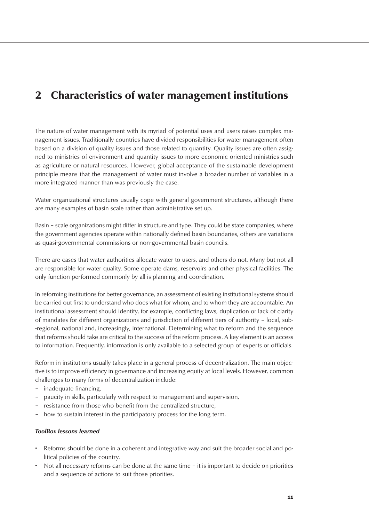# 2 Characteristics of water management institutions

The nature of water management with its myriad of potential uses and users raises complex management issues. Traditionally countries have divided responsibilities for water management often based on a division of quality issues and those related to quantity. Quality issues are often assigned to ministries of environment and quantity issues to more economic oriented ministries such as agriculture or natural resources. However, global acceptance of the sustainable development principle means that the management of water must involve a broader number of variables in a more integrated manner than was previously the case.

Water organizational structures usually cope with general government structures, although there are many examples of basin scale rather than administrative set up.

Basin – scale organizations might differ in structure and type. They could be state companies, where the government agencies operate within nationally defined basin boundaries, others are variations as quasi-governmental commissions or non-governmental basin councils.

There are cases that water authorities allocate water to users, and others do not. Many but not all are responsible for water quality. Some operate dams, reservoirs and other physical facilities. The only function performed commonly by all is planning and coordination.

In reforming institutions for better governance, an assessment of existing institutional systems should be carried out first to understand who does what for whom, and to whom they are accountable. An institutional assessment should identify, for example, conflicting laws, duplication or lack of clarity of mandates for different organizations and jurisdiction of different tiers of authority – local, sub- -regional, national and, increasingly, international. Determining what to reform and the sequence that reforms should take are critical to the success of the reform process. A key element is an access to information. Frequently, information is only available to a selected group of experts or officials.

Reform in institutions usually takes place in a general process of decentralization. The main objective is to improve efficiency in governance and increasing equity at local levels. However, common challenges to many forms of decentralization include:

- inadequate financing,
- paucity in skills, particularly with respect to management and supervision,
- resistance from those who benefit from the centralized structure,
- how to sustain interest in the participatory process for the long term.

# *ToolBox lessons learned*

- Reforms should be done in a coherent and integrative way and suit the broader social and political policies of the country.
- Not all necessary reforms can be done at the same time it is important to decide on priorities and a sequence of actions to suit those priorities.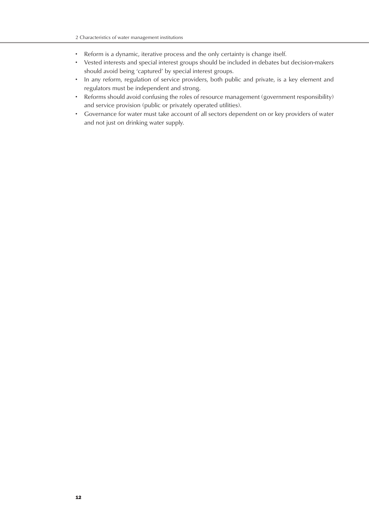- Reform is a dynamic, iterative process and the only certainty is change itself.
- Vested interests and special interest groups should be included in debates but decision-makers should avoid being 'captured' by special interest groups.
- In any reform, regulation of service providers, both public and private, is a key element and regulators must be independent and strong.
- Reforms should avoid confusing the roles of resource management (government responsibility) and service provision (public or privately operated utilities).
- Governance for water must take account of all sectors dependent on or key providers of water and not just on drinking water supply.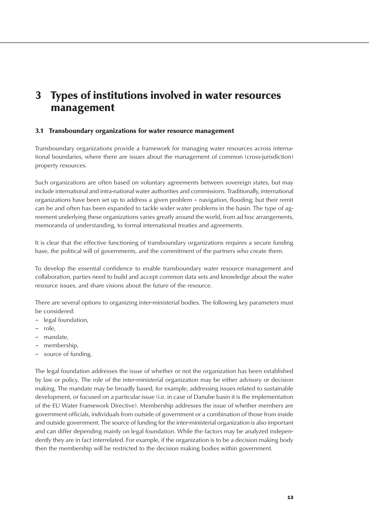# 3 Types of institutions involved in water resources management

# 3.1 Transboundary organizations for water resource management

Transboundary organizations provide a framework for managing water resources across international boundaries, where there are issues about the management of common (cross-jurisdiction) property resources.

Such organizations are often based on voluntary agreements between sovereign states, but may include international and intra-national water authorities and commissions. Traditionally, international organizations have been set up to address a given problem – navigation, flooding; but their remit can be and often has been expanded to tackle wider water problems in the basin. The type of agreement underlying these organizations varies greatly around the world, from ad hoc arrangements, memoranda of understanding, to formal international treaties and agreements.

It is clear that the effective functioning of transboundary organizations requires a secure funding base, the political will of governments, and the commitment of the partners who create them.

To develop the essential confidence to enable transboundary water resource management and collaboration, parties need to build and accept common data sets and knowledge about the water resource issues, and share visions about the future of the resource.

There are several options to organizing inter-ministerial bodies. The following key parameters must be considered:

- legal foundation,
- role,
- mandate,
- membership,
- source of funding.

The legal foundation addresses the issue of whether or not the organization has been established by law or policy. The role of the inter-ministerial organization may be either advisory or decision making. The mandate may be broadly based, for example, addressing issues related to sustainable development, or focused on a particular issue (i.e. in case of Danube basin it is the implementation of the EU Water Framework Directive). Membership addresses the issue of whether members are government officials, individuals from outside of government or a combination of those from inside and outside government. The source of funding for the inter-ministerial organization is also important and can differ depending mainly on legal foundation. While the factors may be analyzed independently they are in fact interrelated. For example, if the organization is to be a decision making body then the membership will be restricted to the decision making bodies within government.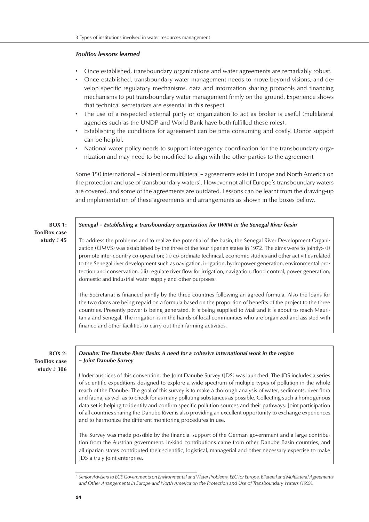# *ToolBox lessons learned*

- Once established, transboundary organizations and water agreements are remarkably robust.
- Once established, transboundary water management needs to move beyond visions, and develop specific regulatory mechanisms, data and information sharing protocols and financing mechanisms to put transboundary water management firmly on the ground. Experience shows that technical secretariats are essential in this respect.
- The use of a respected external party or organization to act as broker is useful (multilateral agencies such as the UNDP and World Bank have both fulfilled these roles).
- Establishing the conditions for agreement can be time consuming and costly. Donor support can be helpful.
- National water policy needs to support inter-agency coordination for the transboundary organization and may need to be modified to align with the other parties to the agreement

Some 150 international – bilateral or multilateral – agreements exist in Europe and North America on the protection and use of transboundary waters<sup>1</sup>. However not all of Europe's transboundary waters are covered, and some of the agreements are outdated. Lessons can be learnt from the drawing-up and implementation of these agreements and arrangements as shown in the boxes bellow.

| <b>BOX 1:</b>       | Senegal - Establishing a transboundary organization for IWRM in the Senegal River basin                                                                                                                                                                                                                                                                                                                                                                                                                                                                                                                                                                                                                                                              |
|---------------------|------------------------------------------------------------------------------------------------------------------------------------------------------------------------------------------------------------------------------------------------------------------------------------------------------------------------------------------------------------------------------------------------------------------------------------------------------------------------------------------------------------------------------------------------------------------------------------------------------------------------------------------------------------------------------------------------------------------------------------------------------|
| <b>ToolBox case</b> |                                                                                                                                                                                                                                                                                                                                                                                                                                                                                                                                                                                                                                                                                                                                                      |
| study $#45$         | To address the problems and to realize the potential of the basin, the Senegal River Development Organi-<br>zation (OMVS) was established by the three of the four riparian states in 1972. The aims were to jointly:- (i)<br>promote inter-country co-operation; (ii) co-ordinate technical, economic studies and other activities related<br>to the Senegal river development such as navigation, irrigation, hydropower generation, environmental pro-<br>tection and conservation. (iii) regulate river flow for irrigation, navigation, flood control, power generation,<br>domestic and industrial water supply and other purposes.                                                                                                            |
|                     | The Secretariat is financed jointly by the three countries following an agreed formula. Also the loans for<br>the two dams are being repaid on a formula based on the proportion of benefits of the project to the three<br>countries. Presently power is being generated. It is being supplied to Mali and it is about to reach Mauri-<br>tania and Senegal. The irrigation is in the hands of local communities who are organized and assisted with<br>finance and other facilities to carry out their farming activities.                                                                                                                                                                                                                         |
|                     |                                                                                                                                                                                                                                                                                                                                                                                                                                                                                                                                                                                                                                                                                                                                                      |
| <b>BOX 2:</b>       | Danube: The Danube River Basin: A need for a cohesive international work in the region                                                                                                                                                                                                                                                                                                                                                                                                                                                                                                                                                                                                                                                               |
| <b>ToolBox case</b> | - Joint Danube Survey                                                                                                                                                                                                                                                                                                                                                                                                                                                                                                                                                                                                                                                                                                                                |
| study $#306$        | Under auspices of this convention, the Joint Danube Survey (JDS) was launched. The JDS includes a series<br>of scientific expeditions designed to explore a wide spectrum of multiple types of pollution in the whole<br>reach of the Danube. The goal of this survey is to make a thorough analysis of water, sediments, river flora<br>and fauna, as well as to check for as many polluting substances as possible. Collecting such a homogenous<br>data set is helping to identify and confirm specific pollution sources and their pathways. Joint participation<br>of all countries sharing the Danube River is also providing an excellent opportunity to exchange experiences<br>and to harmonize the different monitoring procedures in use. |
|                     | The Survey was made possible by the financial support of the German government and a large contribu-<br>tion from the Austrian government. In-kind contributions came from other Danube Basin countries, and                                                                                                                                                                                                                                                                                                                                                                                                                                                                                                                                         |

all riparian states contributed their scientific, logistical, managerial and other necessary expertise to make JDS a truly joint enterprise.

*<sup>1</sup> Senior Advisers to ECE Governments on Environmental and Water Problems, EEC for Europe, Bilateral and Multilateral Agreements and Other Arrangements in Europe and North America on the Protection and Use of Transboundary Waters (1993).*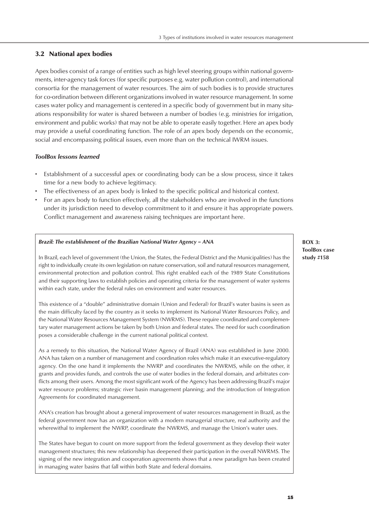# 3.2 National apex bodies

Apex bodies consist of a range of entities such as high level steering groups within national governments, inter-agency task forces (for specific purposes e.g. water pollution control), and international consortia for the management of water resources. The aim of such bodies is to provide structures for co-ordination between different organizations involved in water resource management. In some cases water policy and management is centered in a specific body of government but in many situations responsibility for water is shared between a number of bodies (e.g. ministries for irrigation, environment and public works) that may not be able to operate easily together. Here an apex body may provide a useful coordinating function. The role of an apex body depends on the economic, social and encompassing political issues, even more than on the technical IWRM issues.

# *ToolBox lessons learned*

- Establishment of a successful apex or coordinating body can be a slow process, since it takes time for a new body to achieve legitimacy.
- The effectiveness of an apex body is linked to the specific political and historical context.
- For an apex body to function effectively, all the stakeholders who are involved in the functions under its jurisdiction need to develop commitment to it and ensure it has appropriate powers. Conflict management and awareness raising techniques are important here.

#### *Brazil: The establishment of the Brazilian National Water Agency – ANA*

In Brazil, each level of government (the Union, the States, the Federal District and the Municipalities) has the right to individually create its own legislation on nature conservation, soil and natural resources management, environmental protection and pollution control. This right enabled each of the 1989 State Constitutions and their supporting laws to establish policies and operating criteria for the management of water systems within each state, under the federal rules on environment and water resources.

This existence of a "double" administrative domain (Union and Federal) for Brazil's water basins is seen as the main difficulty faced by the country as it seeks to implement its National Water Resources Policy, and the National Water Resources Management System (NWRMS). These require coordinated and complementary water management actions be taken by both Union and federal states. The need for such coordination poses a considerable challenge in the current national political context.

As a remedy to this situation, the National Water Agency of Brazil (ANA) was established in June 2000. ANA has taken on a number of management and coordination roles which make it an executive-regulatory agency. On the one hand it implements the NWRP and coordinates the NWRMS, while on the other, it grants and provides funds, and controls the use of water bodies in the federal domain, and arbitrates conflicts among their users. Among the most significant work of the Agency has been addressing Brazil's major water resource problems; strategic river basin management planning; and the introduction of Integration Agreements for coordinated management.

ANA's creation has brought about a general improvement of water resources management in Brazil, as the federal government now has an organization with a modern managerial structure, real authority and the wherewithal to implement the NWRP, coordinate the NWRMS, and manage the Union's water uses.

The States have begun to count on more support from the federal government as they develop their water management structures; this new relationship has deepened their participation in the overall NWRMS. The signing of the new integration and cooperation agreements shows that a new paradigm has been created in managing water basins that fall within both State and federal domains.

# **BOX 3: ToolBox case study #158**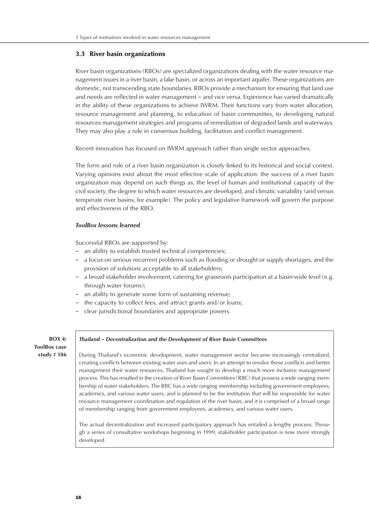# 3.3 River basin organizations

River basin organizations (RBOs) are specialized organizations dealing with the water resource management issues in a river basin, a lake basin, or across an important aquifer. These organizations are domestic, not transcending state boundaries. RBOs provide a mechanism for ensuring that land use and needs are reflected in water management – and vice versa. Experience has varied dramatically in the ability of these organizations to achieve IWRM. Their functions vary from water allocation, resource management and planning, to education of basin communities, to developing natural resources management strategies and programs of remediation of degraded lands and waterways. They may also play a role in consensus building, facilitation and conflict management.

Recent innovation has focused on IWRM approach rather than single sector approaches.

The form and role of a river basin organization is closely linked to its historical and social context. Varying opinions exist about the most effective scale of application: the success of a river basin organization may depend on such things as, the level of human and institutional capacity of the civil society, the degree to which water resources are developed, and climatic variability (arid versus temperate river basins, for example). The policy and legislative framework will govern the purpose and effectiveness of the RBO.

# *ToolBox lessons learned*

Successful RBOs are supported by:

- an ability to establish trusted technical competencies;
- a focus on serious recurrent problems such as flooding or drought or supply shortages, and the provision of solutions acceptable to all stakeholders;
- a broad stakeholder involvement, catering for grassroots participation at a basin-wide level (e.g. through water forums);
- an ability to generate some form of sustaining revenue;
- the capacity to collect fees, and attract grants and/or loans;
- clear jurisdictional boundaries and appropriate powers.

**BOX 4: ToolBox case study # 186**

# *Thailand – Decentralization and the Development of River Basin Committees*

During Thailand's economic development, water management sector became increasingly centralized, creating conflicts between existing water uses and users. In an attempt to resolve these conflicts and better management their water resources, Thailand has sought to develop a much more inclusive management process. This has resulted in the creation of River Basin Committees (RBC) that possess a wide ranging membership of water stakeholders. The RBC has a wide ranging membership including government employees, academics, and various water users, and is planned to be the institution that will be responsible for water resource management coordination and regulation of the river basin, and it is comprised of a broad range of membership ranging from government employees, academics, and various water users.

The actual decentralization and increased participatory approach has entailed a lengthy process. Through a series of consultative workshops beginning in 1999, stakeholder participation is now more strongly developed.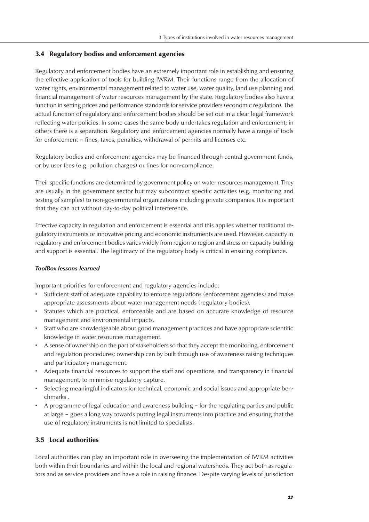# 3.4 Regulatory bodies and enforcement agencies

Regulatory and enforcement bodies have an extremely important role in establishing and ensuring the effective application of tools for building IWRM. Their functions range from the allocation of water rights, environmental management related to water use, water quality, land use planning and financial management of water resources management by the state. Regulatory bodies also have a function in setting prices and performance standards for service providers (economic regulation). The actual function of regulatory and enforcement bodies should be set out in a clear legal framework reflecting water policies. In some cases the same body undertakes regulation and enforcement; in others there is a separation. Regulatory and enforcement agencies normally have a range of tools for enforcement – fines, taxes, penalties, withdrawal of permits and licenses etc.

Regulatory bodies and enforcement agencies may be financed through central government funds, or by user fees (e.g. pollution charges) or fines for non-compliance.

Their specific functions are determined by government policy on water resources management. They are usually in the government sector but may subcontract specific activities (e.g. monitoring and testing of samples) to non-governmental organizations including private companies. It is important that they can act without day-to-day political interference.

Effective capacity in regulation and enforcement is essential and this applies whether traditional regulatory instruments or innovative pricing and economic instruments are used. However, capacity in regulatory and enforcement bodies varies widely from region to region and stress on capacity building and support is essential. The legitimacy of the regulatory body is critical in ensuring compliance.

# *ToolBox lessons learned*

Important priorities for enforcement and regulatory agencies include:

- Sufficient staff of adequate capability to enforce regulations (enforcement agencies) and make appropriate assessments about water management needs (regulatory bodies).
- Statutes which are practical, enforceable and are based on accurate knowledge of resource management and environmental impacts.
- Staff who are knowledgeable about good management practices and have appropriate scientific knowledge in water resources management.
- A sense of ownership on the part of stakeholders so that they accept the monitoring, enforcement and regulation procedures; ownership can by built through use of awareness raising techniques and participatory management.
- Adequate financial resources to support the staff and operations, and transparency in financial management, to minimise regulatory capture.
- Selecting meaningful indicators for technical, economic and social issues and appropriate benchmarks .
- A programme of legal education and awareness building for the regulating parties and public at large – goes a long way towards putting legal instruments into practice and ensuring that the use of regulatory instruments is not limited to specialists.

# 3.5 Local authorities

Local authorities can play an important role in overseeing the implementation of IWRM activities both within their boundaries and within the local and regional watersheds. They act both as regulators and as service providers and have a role in raising finance. Despite varying levels of jurisdiction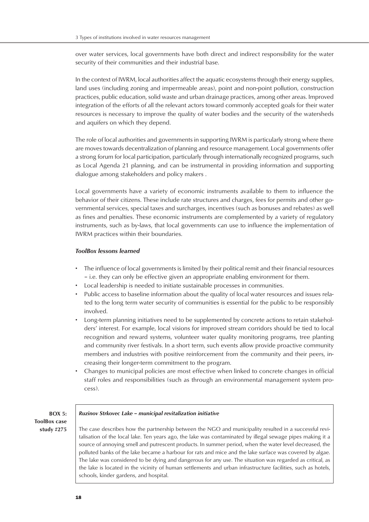over water services, local governments have both direct and indirect responsibility for the water security of their communities and their industrial base.

In the context of IWRM, local authorities affect the aquatic ecosystems through their energy supplies, land uses (including zoning and impermeable areas), point and non-point pollution, construction practices, public education, solid waste and urban drainage practices, among other areas. Improved integration of the efforts of all the relevant actors toward commonly accepted goals for their water resources is necessary to improve the quality of water bodies and the security of the watersheds and aquifers on which they depend.

The role of local authorities and governments in supporting IWRM is particularly strong where there are moves towards decentralization of planning and resource management. Local governments offer a strong forum for local participation, particularly through internationally recognized programs, such as Local Agenda 21 planning, and can be instrumental in providing information and supporting dialogue among stakeholders and policy makers .

Local governments have a variety of economic instruments available to them to influence the behavior of their citizens. These include rate structures and charges, fees for permits and other governmental services, special taxes and surcharges, incentives (such as bonuses and rebates) as well as fines and penalties. These economic instruments are complemented by a variety of regulatory instruments, such as by-laws, that local governments can use to influence the implementation of IWRM practices within their boundaries.

# *ToolBox lessons learned*

- The influence of local governments is limited by their political remit and their financial resources – i.e. they can only be effective given an appropriate enabling environment for them.
- Local leadership is needed to initiate sustainable processes in communities.
- Public access to baseline information about the quality of local water resources and issues related to the long term water security of communities is essential for the public to be responsibly involved.
- Long-term planning initiatives need to be supplemented by concrete actions to retain stakeholders' interest. For example, local visions for improved stream corridors should be tied to local recognition and reward systems, volunteer water quality monitoring programs, tree planting and community river festivals. In a short term, such events allow provide proactive community members and industries with positive reinforcement from the community and their peers, increasing their longer-term commitment to the program.
- Changes to municipal policies are most effective when linked to concrete changes in official staff roles and responsibilities (such as through an environmental management system process).

| $BOX$ 5:            |
|---------------------|
| <b>ToolBox case</b> |
| study $\#275$       |

#### *Ruzinov Strkovec Lake – municipal revitalization initiative*

The case describes how the partnership between the NGO and municipality resulted in a successful revitalisation of the local lake. Ten years ago, the lake was contaminated by illegal sewage pipes making it a source of annoying smell and putrescent products. In summer period, when the water level decreased, the polluted banks of the lake became a harbour for rats and mice and the lake surface was covered by algae. The lake was considered to be dying and dangerous for any use. The situation was regarded as critical, as the lake is located in the vicinity of human settlements and urban infrastructure facilities, such as hotels, schools, kinder gardens, and hospital.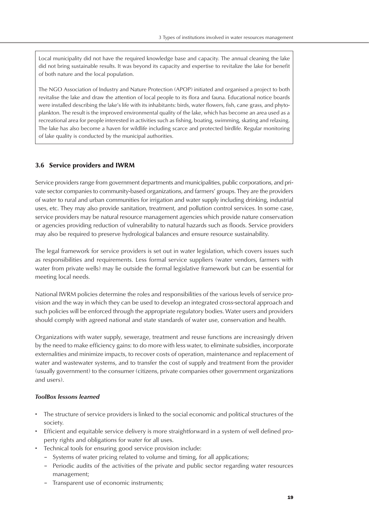Local municipality did not have the required knowledge base and capacity. The annual cleaning the lake did not bring sustainable results. It was beyond its capacity and expertise to revitalize the lake for benefit of both nature and the local population.

The NGO Association of Industry and Nature Protection (APOP) initiated and organised a project to both revitalise the lake and draw the attention of local people to its flora and fauna. Educational notice boards were installed describing the lake's life with its inhabitants: birds, water flowers, fish, cane grass, and phytoplankton. The result is the improved environmental quality of the lake, which has become an area used as a recreational area for people interested in activities such as fishing, boating, swimming, skating and relaxing. The lake has also become a haven for wildlife including scarce and protected birdlife. Regular monitoring of lake quality is conducted by the municipal authorities.

# 3.6 Service providers and IWRM

Service providers range from government departments and municipalities, public corporations, and private sector companies to community-based organizations, and farmers' groups. They are the providers of water to rural and urban communities for irrigation and water supply including drinking, industrial uses, etc. They may also provide sanitation, treatment, and pollution control services. In some case, service providers may be natural resource management agencies which provide nature conservation or agencies providing reduction of vulnerability to natural hazards such as floods. Service providers may also be required to preserve hydrological balances and ensure resource sustainability.

The legal framework for service providers is set out in water legislation, which covers issues such as responsibilities and requirements. Less formal service suppliers (water vendors, farmers with water from private wells) may lie outside the formal legislative framework but can be essential for meeting local needs.

National IWRM policies determine the roles and responsibilities of the various levels of service provision and the way in which they can be used to develop an integrated cross-sectoral approach and such policies will be enforced through the appropriate regulatory bodies. Water users and providers should comply with agreed national and state standards of water use, conservation and health.

Organizations with water supply, sewerage, treatment and reuse functions are increasingly driven by the need to make efficiency gains: to do more with less water, to eliminate subsidies, incorporate externalities and minimize impacts, to recover costs of operation, maintenance and replacement of water and wastewater systems, and to transfer the cost of supply and treatment from the provider (usually government) to the consumer (citizens, private companies other government organizations and users).

# *ToolBox lessons learned*

- The structure of service providers is linked to the social economic and political structures of the society.
- Efficient and equitable service delivery is more straightforward in a system of well defined property rights and obligations for water for all uses.
- Technical tools for ensuring good service provision include:
	- Systems of water pricing related to volume and timing, for all applications;
	- Periodic audits of the activities of the private and public sector regarding water resources management;
	- Transparent use of economic instruments;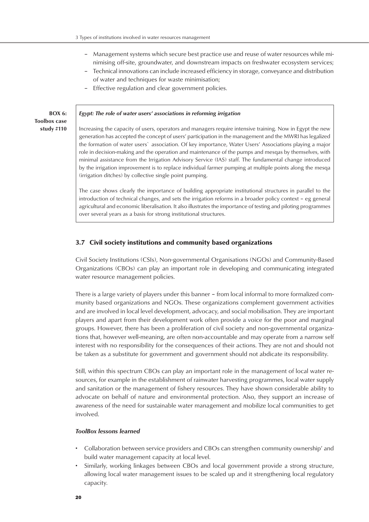- Management systems which secure best practice use and reuse of water resources while minimising off-site, groundwater, and downstream impacts on freshwater ecosystem services;
- Technical innovations can include increased efficiency in storage, conveyance and distribution of water and techniques for waste minimisation;
- Effective regulation and clear government policies.

**BOX 6: Toolbox case study #110**

#### *Egypt: The role of water users' associations in reforming irrigation*

Increasing the capacity of users, operators and managers require intensive training. Now in Egypt the new generation has accepted the concept of users' participation in the management and the MWRI has legalized the formation of water users` association. Of key importance, Water Users' Associations playing a major role in decision-making and the operation and maintenance of the pumps and mesqas by themselves, with minimal assistance from the Irrigation Advisory Service (IAS) staff. The fundamental change introduced by the irrigation improvement is to replace individual farmer pumping at multiple points along the mesqa (irrigation ditches) by collective single point pumping.

The case shows clearly the importance of building appropriate institutional structures in parallel to the introduction of technical changes, and sets the irrigation reforms in a broader policy context – eg general agricultural and economic liberalisation. It also illustrates the importance of testing and piloting programmes over several years as a basis for strong institutional structures.

# 3.7 Civil society institutions and community based organizations

Civil Society Institutions (CSIs), Non-governmental Organisations (NGOs) and Community-Based Organizations (CBOs) can play an important role in developing and communicating integrated water resource management policies.

There is a large variety of players under this banner – from local informal to more formalized community based organizations and NGOs. These organizations complement government activities and are involved in local level development, advocacy, and social mobilisation. They are important players and apart from their development work often provide a voice for the poor and marginal groups. However, there has been a proliferation of civil society and non-governmental organizations that, however well-meaning, are often non-accountable and may operate from a narrow self interest with no responsibility for the consequences of their actions. They are not and should not be taken as a substitute for government and government should not abdicate its responsibility.

Still, within this spectrum CBOs can play an important role in the management of local water resources, for example in the establishment of rainwater harvesting programmes, local water supply and sanitation or the management of fishery resources. They have shown considerable ability to advocate on behalf of nature and environmental protection. Also, they support an increase of awareness of the need for sustainable water management and mobilize local communities to get involved.

#### *ToolBox lessons learned*

- Collaboration between service providers and CBOs can strengthen community ownership' and build water management capacity at local level.
- Similarly, working linkages between CBOs and local government provide a strong structure, allowing local water management issues to be scaled up and it strengthening local regulatory capacity.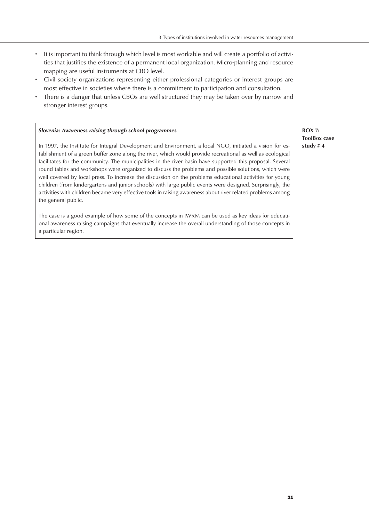- It is important to think through which level is most workable and will create a portfolio of activities that justifies the existence of a permanent local organization. Micro-planning and resource mapping are useful instruments at CBO level.
- Civil society organizations representing either professional categories or interest groups are most effective in societies where there is a commitment to participation and consultation.
- There is a danger that unless CBOs are well structured they may be taken over by narrow and stronger interest groups.

#### *Slovenia: Awareness raising through school programmes*

In 1997, the Institute for Integral Development and Environment, a local NGO, initiated a vision for establishment of a green buffer zone along the river, which would provide recreational as well as ecological facilitates for the community. The municipalities in the river basin have supported this proposal. Several round tables and workshops were organized to discuss the problems and possible solutions, which were well covered by local press. To increase the discussion on the problems educational activities for young children (from kindergartens and junior schools) with large public events were designed. Surprisingly, the activities with children became very effective tools in raising awareness about river related problems among the general public.

The case is a good example of how some of the concepts in IWRM can be used as key ideas for educational awareness raising campaigns that eventually increase the overall understanding of those concepts in a particular region.

**BOX 7: ToolBox case study # 4**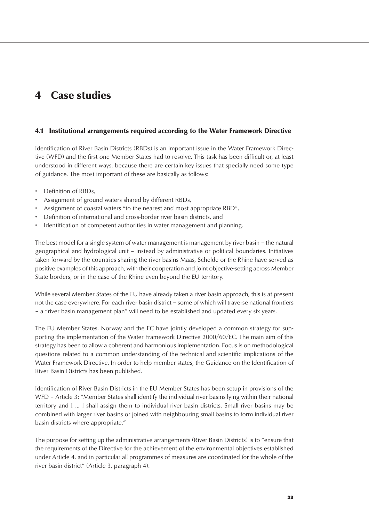# 4 Case studies

# 4.1 Institutional arrangements required according to the Water Framework Directive

Identification of River Basin Districts (RBDs) is an important issue in the Water Framework Directive (WFD) and the first one Member States had to resolve. This task has been difficult or, at least understood in different ways, because there are certain key issues that specially need some type of guidance. The most important of these are basically as follows:

- Definition of RBDs,
- Assignment of ground waters shared by different RBDs,
- Assignment of coastal waters "to the nearest and most appropriate RBD",
- Definition of international and cross-border river basin districts, and
- Identification of competent authorities in water management and planning.

The best model for a single system of water management is management by river basin – the natural geographical and hydrological unit – instead by administrative or political boundaries. Initiatives taken forward by the countries sharing the river basins Maas, Schelde or the Rhine have served as positive examples of this approach, with their cooperation and joint objective-setting across Member State borders, or in the case of the Rhine even beyond the EU territory.

While several Member States of the EU have already taken a river basin approach, this is at present not the case everywhere. For each river basin district – some of which will traverse national frontiers – a "river basin management plan" will need to be established and updated every six years.

The EU Member States, Norway and the EC have jointly developed a common strategy for supporting the implementation of the Water Framework Directive 2000/60/EC. The main aim of this strategy has been to allow a coherent and harmonious implementation. Focus is on methodological questions related to a common understanding of the technical and scientific implications of the Water Framework Directive. In order to help member states, the Guidance on the Identification of River Basin Districts has been published.

Identification of River Basin Districts in the EU Member States has been setup in provisions of the WFD – Article 3: "Member States shall identify the individual river basins lying within their national territory and [ ... ] shall assign them to individual river basin districts. Small river basins may be combined with larger river basins or joined with neighbouring small basins to form individual river basin districts where appropriate."

The purpose for setting up the administrative arrangements (River Basin Districts) is to "ensure that the requirements of the Directive for the achievement of the environmental objectives established under Article 4, and in particular all programmes of measures are coordinated for the whole of the river basin district" (Article 3, paragraph 4).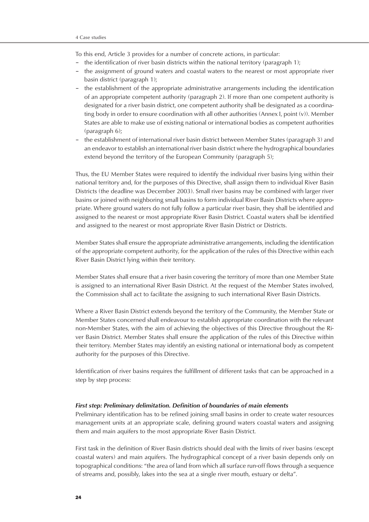To this end, Article 3 provides for a number of concrete actions, in particular:

- the identification of river basin districts within the national territory (paragraph 1);
- the assignment of ground waters and coastal waters to the nearest or most appropriate river basin district (paragraph 1);
- the establishment of the appropriate administrative arrangements including the identification of an appropriate competent authority (paragraph 2). If more than one competent authority is designated for a river basin district, one competent authority shall be designated as a coordinating body in order to ensure coordination with all other authorities (Annex I, point (v)). Member States are able to make use of existing national or international bodies as competent authorities (paragraph 6);
- the establishment of international river basin district between Member States (paragraph 3) and an endeavor to establish an international river basin district where the hydrographical boundaries extend beyond the territory of the European Community (paragraph 5);

Thus, the EU Member States were required to identify the individual river basins lying within their national territory and, for the purposes of this Directive, shall assign them to individual River Basin Districts (the deadline was December 2003). Small river basins may be combined with larger river basins or joined with neighboring small basins to form individual River Basin Districts where appropriate. Where ground waters do not fully follow a particular river basin, they shall be identified and assigned to the nearest or most appropriate River Basin District. Coastal waters shall be identified and assigned to the nearest or most appropriate River Basin District or Districts.

Member States shall ensure the appropriate administrative arrangements, including the identification of the appropriate competent authority, for the application of the rules of this Directive within each River Basin District lying within their territory.

Member States shall ensure that a river basin covering the territory of more than one Member State is assigned to an international River Basin District. At the request of the Member States involved, the Commission shall act to facilitate the assigning to such international River Basin Districts.

Where a River Basin District extends beyond the territory of the Community, the Member State or Member States concerned shall endeavour to establish appropriate coordination with the relevant non-Member States, with the aim of achieving the objectives of this Directive throughout the River Basin District. Member States shall ensure the application of the rules of this Directive within their territory. Member States may identify an existing national or international body as competent authority for the purposes of this Directive.

Identification of river basins requires the fulfillment of different tasks that can be approached in a step by step process:

#### *First step: Preliminary delimitation. Definition of boundaries of main elements*

Preliminary identification has to be refined joining small basins in order to create water resources management units at an appropriate scale, defining ground waters coastal waters and assigning them and main aquifers to the most appropriate River Basin District.

First task in the definition of River Basin districts should deal with the limits of river basins (except coastal waters) and main aquifers. The hydrographical concept of a river basin depends only on topographical conditions: "the area of land from which all surface run-off flows through a sequence of streams and, possibly, lakes into the sea at a single river mouth, estuary or delta".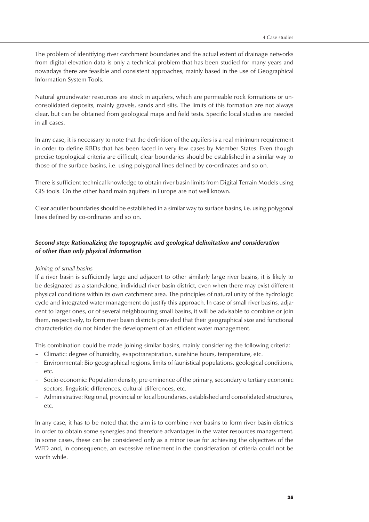The problem of identifying river catchment boundaries and the actual extent of drainage networks from digital elevation data is only a technical problem that has been studied for many years and nowadays there are feasible and consistent approaches, mainly based in the use of Geographical Information System Tools.

Natural groundwater resources are stock in aquifers, which are permeable rock formations or unconsolidated deposits, mainly gravels, sands and silts. The limits of this formation are not always clear, but can be obtained from geological maps and field tests. Specific local studies are needed in all cases.

In any case, it is necessary to note that the definition of the aquifers is a real minimum requirement in order to define RBDs that has been faced in very few cases by Member States. Even though precise topological criteria are difficult, clear boundaries should be established in a similar way to those of the surface basins, i.e. using polygonal lines defined by co-ordinates and so on.

There is sufficient technical knowledge to obtain river basin limits from Digital Terrain Models using GIS tools. On the other hand main aquifers in Europe are not well known.

Clear aquifer boundaries should be established in a similar way to surface basins, i.e. using polygonal lines defined by co-ordinates and so on.

# *Second step: Rationalizing the topographic and geological delimitation and consideration of other than only physical information*

# *Joining of small basins*

If a river basin is sufficiently large and adjacent to other similarly large river basins, it is likely to be designated as a stand-alone, individual river basin district, even when there may exist different physical conditions within its own catchment area. The principles of natural unity of the hydrologic cycle and integrated water management do justify this approach. In case of small river basins, adjacent to larger ones, or of several neighbouring small basins, it will be advisable to combine or join them, respectively, to form river basin districts provided that their geographical size and functional characteristics do not hinder the development of an efficient water management.

This combination could be made joining similar basins, mainly considering the following criteria:

- Climatic: degree of humidity, evapotranspiration, sunshine hours, temperature, etc.
- Environmental: Bio-geographical regions, limits of faunistical populations, geological conditions, etc.
- Socio-economic: Population density, pre-eminence of the primary, secondary o tertiary economic sectors, linguistic differences, cultural differences, etc.
- Administrative: Regional, provincial or local boundaries, established and consolidated structures, etc.

In any case, it has to be noted that the aim is to combine river basins to form river basin districts in order to obtain some synergies and therefore advantages in the water resources management. In some cases, these can be considered only as a minor issue for achieving the objectives of the WFD and, in consequence, an excessive refinement in the consideration of criteria could not be worth while.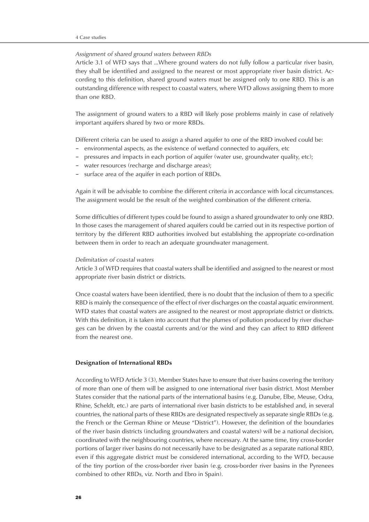#### *Assignment of shared ground waters between RBDs*

Article 3.1 of WFD says that …Where ground waters do not fully follow a particular river basin, they shall be identified and assigned to the nearest or most appropriate river basin district. According to this definition, shared ground waters must be assigned only to one RBD. This is an outstanding difference with respect to coastal waters, where WFD allows assigning them to more than one RBD.

The assignment of ground waters to a RBD will likely pose problems mainly in case of relatively important aquifers shared by two or more RBDs.

Different criteria can be used to assign a shared aquifer to one of the RBD involved could be:

- environmental aspects, as the existence of wetland connected to aquifers, etc
- pressures and impacts in each portion of aquifer (water use, groundwater quality, etc);
- water resources (recharge and discharge areas);
- surface area of the aquifer in each portion of RBDs.

Again it will be advisable to combine the different criteria in accordance with local circumstances. The assignment would be the result of the weighted combination of the different criteria.

Some difficulties of different types could be found to assign a shared groundwater to only one RBD. In those cases the management of shared aquifers could be carried out in its respective portion of territory by the different RBD authorities involved but establishing the appropriate co-ordination between them in order to reach an adequate groundwater management.

#### *Delimitation of coastal waters*

Article 3 of WFD requires that coastal waters shall be identified and assigned to the nearest or most appropriate river basin district or districts.

Once coastal waters have been identified, there is no doubt that the inclusion of them to a specific RBD is mainly the consequence of the effect of river discharges on the coastal aquatic environment. WFD states that coastal waters are assigned to the nearest or most appropriate district or districts. With this definition, it is taken into account that the plumes of pollution produced by river discharges can be driven by the coastal currents and/or the wind and they can affect to RBD different from the nearest one.

#### **Designation of International RBDs**

According to WFD Article 3 (3), Member States have to ensure that river basins covering the territory of more than one of them will be assigned to one international river basin district. Most Member States consider that the national parts of the international basins (e.g. Danube, Elbe, Meuse, Odra, Rhine, Scheldt, etc.) are parts of international river basin districts to be established and, in several countries, the national parts of these RBDs are designated respectively as separate single RBDs (e.g. the French or the German Rhine or Meuse "District"). However, the definition of the boundaries of the river basin districts (including groundwaters and coastal waters) will be a national decision, coordinated with the neighbouring countries, where necessary. At the same time, tiny cross-border portions of larger river basins do not necessarily have to be designated as a separate national RBD, even if this aggregate district must be considered international, according to the WFD, because of the tiny portion of the cross-border river basin (e.g. cross-border river basins in the Pyrenees combined to other RBDs, viz. North and Ebro in Spain).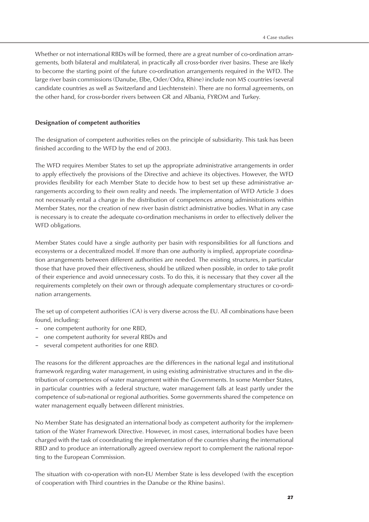Whether or not international RBDs will be formed, there are a great number of co-ordination arrangements, both bilateral and multilateral, in practically all cross-border river basins. These are likely to become the starting point of the future co-ordination arrangements required in the WFD. The large river basin commissions (Danube, Elbe, Oder/Odra, Rhine) include non MS countries (several candidate countries as well as Switzerland and Liechtenstein). There are no formal agreements, on the other hand, for cross-border rivers between GR and Albania, FYROM and Turkey.

#### **Designation of competent authorities**

The designation of competent authorities relies on the principle of subsidiarity. This task has been finished according to the WFD by the end of 2003.

The WFD requires Member States to set up the appropriate administrative arrangements in order to apply effectively the provisions of the Directive and achieve its objectives. However, the WFD provides flexibility for each Member State to decide how to best set up these administrative arrangements according to their own reality and needs. The implementation of WFD Article 3 does not necessarily entail a change in the distribution of competences among administrations within Member States, nor the creation of new river basin district administrative bodies. What in any case is necessary is to create the adequate co-ordination mechanisms in order to effectively deliver the WFD obligations.

Member States could have a single authority per basin with responsibilities for all functions and ecosystems or a decentralized model. If more than one authority is implied, appropriate coordination arrangements between different authorities are needed. The existing structures, in particular those that have proved their effectiveness, should be utilized when possible, in order to take profit of their experience and avoid unnecessary costs. To do this, it is necessary that they cover all the requirements completely on their own or through adequate complementary structures or co-ordination arrangements.

The set up of competent authorities (CA) is very diverse across the EU. All combinations have been found, including:

- one competent authority for one RBD,
- one competent authority for several RBDs and
- several competent authorities for one RBD.

The reasons for the different approaches are the differences in the national legal and institutional framework regarding water management, in using existing administrative structures and in the distribution of competences of water management within the Governments. In some Member States, in particular countries with a federal structure, water management falls at least partly under the competence of sub-national or regional authorities. Some governments shared the competence on water management equally between different ministries.

No Member State has designated an international body as competent authority for the implementation of the Water Framework Directive. However, in most cases, international bodies have been charged with the task of coordinating the implementation of the countries sharing the international RBD and to produce an internationally agreed overview report to complement the national reporting to the European Commission.

The situation with co-operation with non-EU Member State is less developed (with the exception of cooperation with Third countries in the Danube or the Rhine basins).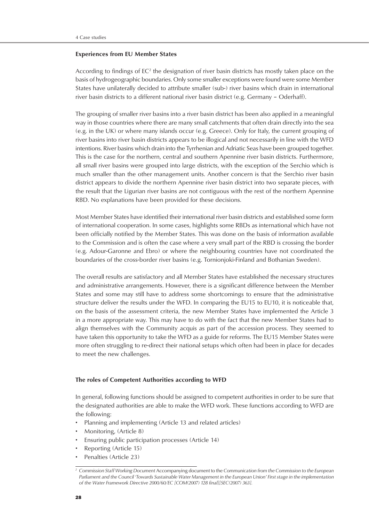#### **Experiences from EU Member States**

According to findings of  $EC^2$  the designation of river basin districts has mostly taken place on the basis of hydrogeographic boundaries. Only some smaller exceptions were found were some Member States have unilaterally decided to attribute smaller (sub-) river basins which drain in international river basin districts to a different national river basin district (e.g. Germany – Oderhaff).

The grouping of smaller river basins into a river basin district has been also applied in a meaningful way in those countries where there are many small catchments that often drain directly into the sea (e.g. in the UK) or where many islands occur (e.g. Greece). Only for Italy, the current grouping of river basins into river basin districts appears to be illogical and not necessarily in line with the WFD intentions. River basins which drain into the Tyrrhenian and Adriatic Seas have been grouped together. This is the case for the northern, central and southern Apennine river basin districts. Furthermore, all small river basins were grouped into large districts, with the exception of the Serchio which is much smaller than the other management units. Another concern is that the Serchio river basin district appears to divide the northern Apennine river basin district into two separate pieces, with the result that the Ligurian river basins are not contiguous with the rest of the northern Apennine RBD. No explanations have been provided for these decisions.

Most Member States have identified their international river basin districts and established some form of international cooperation. In some cases, highlights some RBDs as international which have not been officially notified by the Member States. This was done on the basis of information available to the Commission and is often the case where a very small part of the RBD is crossing the border (e.g. Adour-Garonne and Ebro) or where the neighbouring countries have not coordinated the boundaries of the cross-border river basins (e.g. Tornionjoki-Finland and Bothanian Sweden).

The overall results are satisfactory and all Member States have established the necessary structures and administrative arrangements. However, there is a significant difference between the Member States and some may still have to address some shortcomings to ensure that the administrative structure deliver the results under the WFD. In comparing the EU15 to EU10, it is noticeable that, on the basis of the assessment criteria, the new Member States have implemented the Article 3 in a more appropriate way. This may have to do with the fact that the new Member States had to align themselves with the Community acquis as part of the accession process. They seemed to have taken this opportunity to take the WFD as a guide for reforms. The EU15 Member States were more often struggling to re-direct their national setups which often had been in place for decades to meet the new challenges.

#### **The roles of Competent Authorities according to WFD**

In general, following functions should be assigned to competent authorities in order to be sure that the designated authorities are able to make the WFD work. These functions according to WFD are the following:

- Planning and implementing (Article 13 and related articles)
- Monitoring, (Article 8)
- Ensuring public participation processes (Article 14)
- Reporting (Article 15)
- Penalties (Article 23)

*<sup>2</sup> Commission Staff Working Document* Accompanying document to the *Communication from the Commission to the European Parliament and the Council 'Towards Sustainable Water Management in the European Union' First stage in the implementation of the Water Framework Directive 2000/60/EC [COM(2007) 128 final][SEC(2007) 363].*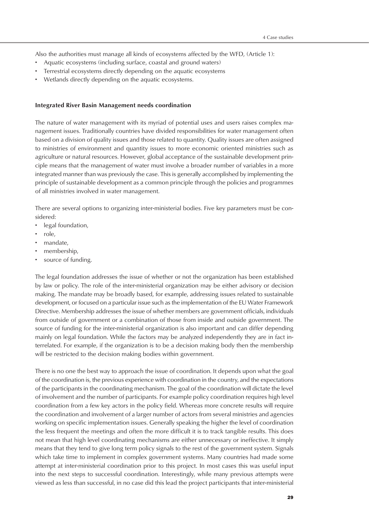Also the authorities must manage all kinds of ecosystems affected by the WFD, (Article 1):

- Aquatic ecosystems (including surface, coastal and ground waters)
- Terrestrial ecosystems directly depending on the aquatic ecosystems
- Wetlands directly depending on the aquatic ecosystems.

#### **Integrated River Basin Management needs coordination**

The nature of water management with its myriad of potential uses and users raises complex management issues. Traditionally countries have divided responsibilities for water management often based on a division of quality issues and those related to quantity. Quality issues are often assigned to ministries of environment and quantity issues to more economic oriented ministries such as agriculture or natural resources. However, global acceptance of the sustainable development principle means that the management of water must involve a broader number of variables in a more integrated manner than was previously the case. This is generally accomplished by implementing the principle of sustainable development as a common principle through the policies and programmes of all ministries involved in water management.

There are several options to organizing inter-ministerial bodies. Five key parameters must be considered:

- legal foundation,
- role,
- mandate,
- membership,
- source of funding.

The legal foundation addresses the issue of whether or not the organization has been established by law or policy. The role of the inter-ministerial organization may be either advisory or decision making. The mandate may be broadly based, for example, addressing issues related to sustainable development, or focused on a particular issue such as the implementation of the EU Water Framework Directive. Membership addresses the issue of whether members are government officials, individuals from outside of government or a combination of those from inside and outside government. The source of funding for the inter-ministerial organization is also important and can differ depending mainly on legal foundation. While the factors may be analyzed independently they are in fact interrelated. For example, if the organization is to be a decision making body then the membership will be restricted to the decision making bodies within government.

There is no one the best way to approach the issue of coordination. It depends upon what the goal of the coordination is, the previous experience with coordination in the country, and the expectations of the participants in the coordinating mechanism. The goal of the coordination will dictate the level of involvement and the number of participants. For example policy coordination requires high level coordination from a few key actors in the policy field. Whereas more concrete results will require the coordination and involvement of a larger number of actors from several ministries and agencies working on specific implementation issues. Generally speaking the higher the level of coordination the less frequent the meetings and often the more difficult it is to track tangible results. This does not mean that high level coordinating mechanisms are either unnecessary or ineffective. It simply means that they tend to give long term policy signals to the rest of the government system. Signals which take time to implement in complex government systems. Many countries had made some attempt at inter-ministerial coordination prior to this project. In most cases this was useful input into the next steps to successful coordination. Interestingly, while many previous attempts were viewed as less than successful, in no case did this lead the project participants that inter-ministerial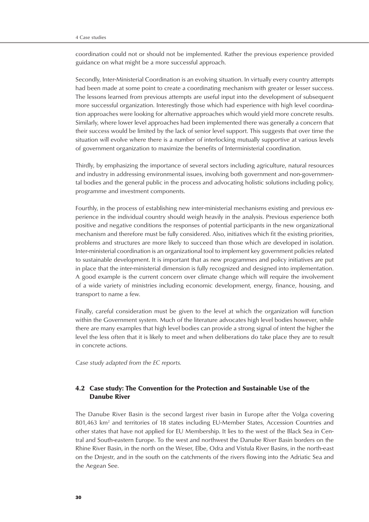coordination could not or should not be implemented. Rather the previous experience provided guidance on what might be a more successful approach.

Secondly, Inter-Ministerial Coordination is an evolving situation. In virtually every country attempts had been made at some point to create a coordinating mechanism with greater or lesser success. The lessons learned from previous attempts are useful input into the development of subsequent more successful organization. Interestingly those which had experience with high level coordination approaches were looking for alternative approaches which would yield more concrete results. Similarly, where lower level approaches had been implemented there was generally a concern that their success would be limited by the lack of senior level support. This suggests that over time the situation will evolve where there is a number of interlocking mutually supportive at various levels of government organization to maximize the benefits of Interministerial coordination.

Thirdly, by emphasizing the importance of several sectors including agriculture, natural resources and industry in addressing environmental issues, involving both government and non-governmental bodies and the general public in the process and advocating holistic solutions including policy, programme and investment components.

Fourthly, in the process of establishing new inter-ministerial mechanisms existing and previous experience in the individual country should weigh heavily in the analysis. Previous experience both positive and negative conditions the responses of potential participants in the new organizational mechanism and therefore must be fully considered. Also, initiatives which fit the existing priorities, problems and structures are more likely to succeed than those which are developed in isolation. Inter-ministerial coordination is an organizational tool to implement key government policies related to sustainable development. It is important that as new programmes and policy initiatives are put in place that the inter-ministerial dimension is fully recognized and designed into implementation. A good example is the current concern over climate change which will require the involvement of a wide variety of ministries including economic development, energy, finance, housing, and transport to name a few.

Finally, careful consideration must be given to the level at which the organization will function within the Government system. Much of the literature advocates high level bodies however, while there are many examples that high level bodies can provide a strong signal of intent the higher the level the less often that it is likely to meet and when deliberations do take place they are to result in concrete actions.

*Case study adapted from the EC reports.*

# 4.2 Case study: The Convention for the Protection and Sustainable Use of the Danube River

The Danube River Basin is the second largest river basin in Europe after the Volga covering 801,463 km<sup>2</sup> and territories of 18 states including EU-Member States, Accession Countries and other states that have not applied for EU Membership. It lies to the west of the Black Sea in Central and South-eastern Europe. To the west and northwest the Danube River Basin borders on the Rhine River Basin, in the north on the Weser, Elbe, Odra and Vistula River Basins, in the north-east on the Dnjestr, and in the south on the catchments of the rivers flowing into the Adriatic Sea and the Aegean See.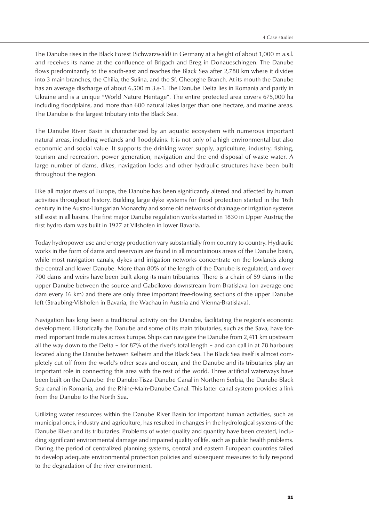The Danube rises in the Black Forest (Schwarzwald) in Germany at a height of about 1,000 m a.s.l. and receives its name at the confluence of Brigach and Breg in Donaueschingen. The Danube flows predominantly to the south-east and reaches the Black Sea after 2,780 km where it divides into 3 main branches, the Chilia, the Sulina, and the Sf. Gheorghe Branch. At its mouth the Danube has an average discharge of about 6,500 m 3.s-1. The Danube Delta lies in Romania and partly in Ukraine and is a unique "World Nature Heritage". The entire protected area covers 675,000 ha including floodplains, and more than 600 natural lakes larger than one hectare, and marine areas. The Danube is the largest tributary into the Black Sea.

The Danube River Basin is characterized by an aquatic ecosystem with numerous important natural areas, including wetlands and floodplains. It is not only of a high environmental but also economic and social value. It supports the drinking water supply, agriculture, industry, fishing, tourism and recreation, power generation, navigation and the end disposal of waste water. A large number of dams, dikes, navigation locks and other hydraulic structures have been built throughout the region.

Like all major rivers of Europe, the Danube has been significantly altered and affected by human activities throughout history. Building large dyke systems for flood protection started in the 16th century in the Austro-Hungarian Monarchy and some old networks of drainage or irrigation systems still exist in all basins. The first major Danube regulation works started in 1830 in Upper Austria; the first hydro dam was built in 1927 at Vilshofen in lower Bavaria.

Today hydropower use and energy production vary substantially from country to country. Hydraulic works in the form of dams and reservoirs are found in all mountainous areas of the Danube basin, while most navigation canals, dykes and irrigation networks concentrate on the lowlands along the central and lower Danube. More than 80% of the length of the Danube is regulated, and over 700 dams and weirs have been built along its main tributaries. There is a chain of 59 dams in the upper Danube between the source and Gabcikovo downstream from Bratislava (on average one dam every 16 km) and there are only three important free-flowing sections of the upper Danube left (Straubing-Vilshofen in Bavaria, the Wachau in Austria and Vienna-Bratislava).

Navigation has long been a traditional activity on the Danube, facilitating the region's economic development. Historically the Danube and some of its main tributaries, such as the Sava, have formed important trade routes across Europe. Ships can navigate the Danube from 2,411 km upstream all the way down to the Delta – for 87% of the river's total length – and can call in at 78 harbours located along the Danube between Kelheim and the Black Sea. The Black Sea itself is almost completely cut off from the world's other seas and ocean, and the Danube and its tributaries play an important role in connecting this area with the rest of the world. Three artificial waterways have been built on the Danube: the Danube-Tisza-Danube Canal in Northern Serbia, the Danube-Black Sea canal in Romania, and the Rhine-Main-Danube Canal. This latter canal system provides a link from the Danube to the North Sea.

Utilizing water resources within the Danube River Basin for important human activities, such as municipal ones, industry and agriculture, has resulted in changes in the hydrological systems of the Danube River and its tributaries. Problems of water quality and quantity have been created, including significant environmental damage and impaired quality of life, such as public health problems. During the period of centralized planning systems, central and eastern European countries failed to develop adequate environmental protection policies and subsequent measures to fully respond to the degradation of the river environment.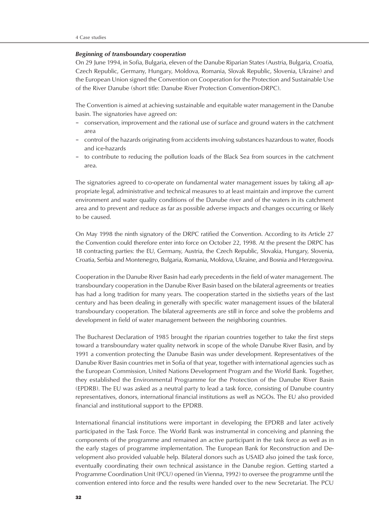#### *Beginning of transboundary cooperation*

On 29 June 1994, in Sofia, Bulgaria, eleven of the Danube Riparian States (Austria, Bulgaria, Croatia, Czech Republic, Germany, Hungary, Moldova, Romania, Slovak Republic, Slovenia, Ukraine) and the European Union signed the Convention on Cooperation for the Protection and Sustainable Use of the River Danube (short title: Danube River Protection Convention-DRPC).

The Convention is aimed at achieving sustainable and equitable water management in the Danube basin. The signatories have agreed on:

- conservation, improvement and the rational use of surface and ground waters in the catchment area
- control of the hazards originating from accidents involving substances hazardous to water, floods and ice-hazards
- to contribute to reducing the pollution loads of the Black Sea from sources in the catchment area.

The signatories agreed to co-operate on fundamental water management issues by taking all appropriate legal, administrative and technical measures to at least maintain and improve the current environment and water quality conditions of the Danube river and of the waters in its catchment area and to prevent and reduce as far as possible adverse impacts and changes occurring or likely to be caused.

On May 1998 the ninth signatory of the DRPC ratified the Convention. According to its Article 27 the Convention could therefore enter into force on October 22, 1998. At the present the DRPC has 18 contracting parties: the EU, Germany, Austria, the Czech Republic, Slovakia, Hungary, Slovenia, Croatia, Serbia and Montenegro, Bulgaria, Romania, Moldova, Ukraine, and Bosnia and Herzegovina.

Cooperation in the Danube River Basin had early precedents in the field of water management. The transboundary cooperation in the Danube River Basin based on the bilateral agreements or treaties has had a long tradition for many years. The cooperation started in the sixtieths years of the last century and has been dealing in generally with specific water management issues of the bilateral transboundary cooperation. The bilateral agreements are still in force and solve the problems and development in field of water management between the neighboring countries.

The Bucharest Declaration of 1985 brought the riparian countries together to take the first steps toward a transboundary water quality network in scope of the whole Danube River Basin, and by 1991 a convention protecting the Danube Basin was under development. Representatives of the Danube River Basin countries met in Sofia of that year, together with international agencies such as the European Commission, United Nations Development Program and the World Bank. Together, they established the Environmental Programme for the Protection of the Danube River Basin (EPDRB). The EU was asked as a neutral party to lead a task force, consisting of Danube country representatives, donors, international financial institutions as well as NGOs. The EU also provided financial and institutional support to the EPDRB.

International financial institutions were important in developing the EPDRB and later actively participated in the Task Force. The World Bank was instrumental in conceiving and planning the components of the programme and remained an active participant in the task force as well as in the early stages of programme implementation. The European Bank for Reconstruction and Development also provided valuable help. Bilateral donors such as USAID also joined the task force, eventually coordinating their own technical assistance in the Danube region. Getting started a Programme Coordination Unit (PCU) opened (in Vienna, 1992) to oversee the programme until the convention entered into force and the results were handed over to the new Secretariat. The PCU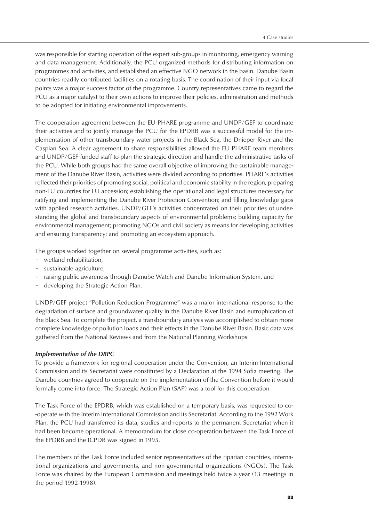was responsible for starting operation of the expert sub-groups in monitoring, emergency warning and data management. Additionally, the PCU organized methods for distributing information on programmes and activities, and established an effective NGO network in the basin. Danube Basin countries readily contributed facilities on a rotating basis. The coordination of their input via focal points was a major success factor of the programme. Country representatives came to regard the PCU as a major catalyst to their own actions to improve their policies, administration and methods to be adopted for initiating environmental improvements.

The cooperation agreement between the EU PHARE programme and UNDP/GEF to coordinate their activities and to jointly manage the PCU for the EPDRB was a successful model for the implementation of other transboundary water projects in the Black Sea, the Dnieper River and the Caspian Sea. A clear agreement to share responsibilities allowed the EU PHARE team members and UNDP/GEF-funded staff to plan the strategic direction and handle the administrative tasks of the PCU. While both groups had the same overall objective of improving the sustainable management of the Danube River Basin, activities were divided according to priorities. PHARE's activities reflected their priorities of promoting social, political and economic stability in the region; preparing non-EU countries for EU accession; establishing the operational and legal structures necessary for ratifying and implementing the Danube River Protection Convention; and filling knowledge gaps with applied research activities. UNDP/GEF's activities concentrated on their priorities of understanding the global and transboundary aspects of environmental problems; building capacity for environmental management; promoting NGOs and civil society as means for developing activities and ensuring transparency; and promoting an ecosystem approach.

The groups worked together on several programme activities, such as:

- wetland rehabilitation,
- sustainable agriculture,
- raising public awareness through Danube Watch and Danube Information System, and
- developing the Strategic Action Plan.

UNDP/GEF project "Pollution Reduction Programme" was a major international response to the degradation of surface and groundwater quality in the Danube River Basin and eutrophication of the Black Sea. To complete the project, a transboundary analysis was accomplished to obtain more complete knowledge of pollution loads and their effects in the Danube River Basin. Basic data was gathered from the National Reviews and from the National Planning Workshops.

# *Implementation of the DRPC*

To provide a framework for regional cooperation under the Convention, an Interim International Commission and its Secretariat were constituted by a Declaration at the 1994 Sofia meeting. The Danube countries agreed to cooperate on the implementation of the Convention before it would formally come into force. The Strategic Action Plan (SAP) was a tool for this cooperation.

The Task Force of the EPDRB, which was established on a temporary basis, was requested to co- -operate with the Interim International Commission and its Secretariat. According to the 1992 Work Plan, the PCU had transferred its data, studies and reports to the permanent Secretariat when it had been become operational. A memorandum for close co-operation between the Task Force of the EPDRB and the ICPDR was signed in 1995.

The members of the Task Force included senior representatives of the riparian countries, international organizations and governments, and non-governmental organizations (NGOs). The Task Force was chaired by the European Commission and meetings held twice a year (13 meetings in the period 1992-1998).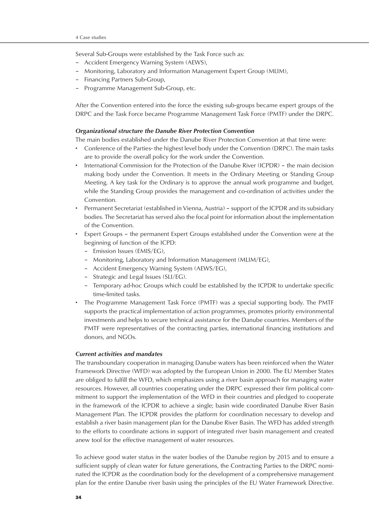Several Sub-Groups were established by the Task Force such as:

- Accident Emergency Warning System (AEWS),
- Monitoring, Laboratory and Information Management Expert Group (MLIM),
- Financing Partners Sub-Group,
- Programme Management Sub-Group, etc.

After the Convention entered into the force the existing sub-groups became expert groups of the DRPC and the Task Force became Programme Management Task Force (PMTF) under the DRPC.

# *Organizational structure the Danube River Protection Convention*

The main bodies established under the Danube River Protection Convention at that time were:

- Conference of the Parties- the highest level body under the Convention (DRPC). The main tasks are to provide the overall policy for the work under the Convention.
- International Commission for the Protection of the Danube River (ICPDR) the main decision making body under the Convention. It meets in the Ordinary Meeting or Standing Group Meeting. A key task for the Ordinary is to approve the annual work programme and budget, while the Standing Group provides the management and co-ordination of activities under the Convention.
- Permanent Secretariat (established in Vienna, Austria) support of the ICPDR and its subsidiary bodies. The Secretariat has served also the focal point for information about the implementation of the Convention.
- Expert Groups the permanent Expert Groups established under the Convention were at the beginning of function of the ICPD:
	- Emission Issues (EMIS/EG),
	- Monitoring, Laboratory and Information Management (MLIM/EG),
	- Accident Emergency Warning System (AEWS/EG),
	- Strategic and Legal Issues (SLI/EG).
	- Temporary ad-hoc Groups which could be established by the ICPDR to undertake specific time-limited tasks.
- The Programme Management Task Force (PMTF) was a special supporting body. The PMTF supports the practical implementation of action programmes, promotes priority environmental investments and helps to secure technical assistance for the Danube countries. Members of the PMTF were representatives of the contracting parties, international financing institutions and donors, and NGOs.

# *Current activities and mandates*

The transboundary cooperation in managing Danube waters has been reinforced when the Water Framework Directive (WFD) was adopted by the European Union in 2000. The EU Member States are obliged to fulfill the WFD, which emphasizes using a river basin approach for managing water resources. However, all countries cooperating under the DRPC expressed their firm political commitment to support the implementation of the WFD in their countries and pledged to cooperate in the framework of the ICPDR to achieve a single; basin wide coordinated Danube River Basin Management Plan. The ICPDR provides the platform for coordination necessary to develop and establish a river basin management plan for the Danube River Basin. The WFD has added strength to the efforts to coordinate actions in support of integrated river basin management and created anew tool for the effective management of water resources.

To achieve good water status in the water bodies of the Danube region by 2015 and to ensure a sufficient supply of clean water for future generations, the Contracting Parties to the DRPC nominated the ICPDR as the coordination body for the development of a comprehensive management plan for the entire Danube river basin using the principles of the EU Water Framework Directive.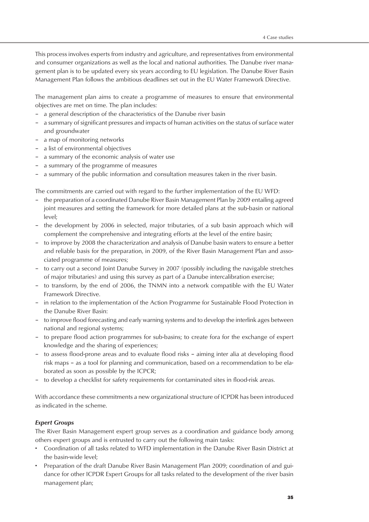This process involves experts from industry and agriculture, and representatives from environmental and consumer organizations as well as the local and national authorities. The Danube river management plan is to be updated every six years according to EU legislation. The Danube River Basin Management Plan follows the ambitious deadlines set out in the EU Water Framework Directive.

The management plan aims to create a programme of measures to ensure that environmental objectives are met on time. The plan includes:

- a general description of the characteristics of the Danube river basin
- a summary of significant pressures and impacts of human activities on the status of surface water and groundwater
- a map of monitoring networks
- a list of environmental objectives
- a summary of the economic analysis of water use
- a summary of the programme of measures
- a summary of the public information and consultation measures taken in the river basin.

The commitments are carried out with regard to the further implementation of the EU WFD:

- the preparation of a coordinated Danube River Basin Management Plan by 2009 entailing agreed joint measures and setting the framework for more detailed plans at the sub-basin or national level;
- the development by 2006 in selected, major tributaries, of a sub basin approach which will complement the comprehensive and integrating efforts at the level of the entire basin;
- to improve by 2008 the characterization and analysis of Danube basin waters to ensure a better and reliable basis for the preparation, in 2009, of the River Basin Management Plan and associated programme of measures;
- to carry out a second Joint Danube Survey in 2007 (possibly including the navigable stretches of major tributaries) and using this survey as part of a Danube intercalibration exercise;
- to transform, by the end of 2006, the TNMN into a network compatible with the EU Water Framework Directive.
- in relation to the implementation of the Action Programme for Sustainable Flood Protection in the Danube River Basin:
- to improve flood forecasting and early warning systems and to develop the interlink ages between national and regional systems;
- to prepare flood action programmes for sub-basins; to create fora for the exchange of expert knowledge and the sharing of experiences;
- to assess flood-prone areas and to evaluate flood risks aiming inter alia at developing flood risk maps – as a tool for planning and communication, based on a recommendation to be elaborated as soon as possible by the ICPCR;
- to develop a checklist for safety requirements for contaminated sites in flood-risk areas.

With accordance these commitments a new organizational structure of ICPDR has been introduced as indicated in the scheme.

# *Expert Groups*

The River Basin Management expert group serves as a coordination and guidance body among others expert groups and is entrusted to carry out the following main tasks:

- Coordination of all tasks related to WFD implementation in the Danube River Basin District at the basin-wide level;
- Preparation of the draft Danube River Basin Management Plan 2009; coordination of and guidance for other ICPDR Expert Groups for all tasks related to the development of the river basin management plan;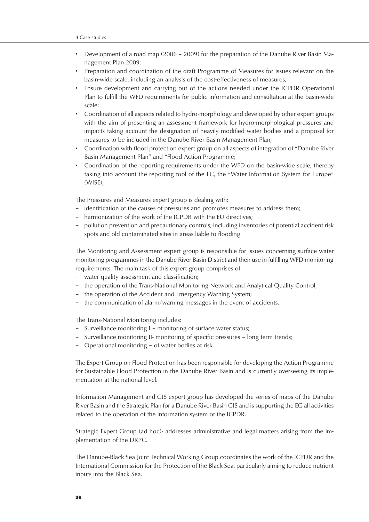- Development of a road map (2006 2009) for the preparation of the Danube River Basin Management Plan 2009;
- Preparation and coordination of the draft Programme of Measures for issues relevant on the basin-wide scale, including an analysis of the cost-effectiveness of measures;
- Ensure development and carrying out of the actions needed under the ICPDR Operational Plan to fulfill the WFD requirements for public information and consultation at the basin-wide scale;
- Coordination of all aspects related to hydro-morphology and developed by other expert groups with the aim of presenting an assessment framework for hydro-morphological pressures and impacts taking account the designation of heavily modified water bodies and a proposal for measures to be included in the Danube River Basin Management Plan;
- Coordination with flood protection expert group on all aspects of integration of "Danube River Basin Management Plan" and "Flood Action Programme;
- Coordination of the reporting requirements under the WFD on the basin-wide scale, thereby taking into account the reporting tool of the EC, the "Water Information System for Europe" (WISE);

The Pressures and Measures expert group is dealing with:

- identification of the causes of pressures and promotes measures to address them;
- harmonization of the work of the ICPDR with the EU directives;
- pollution prevention and precautionary controls, including inventories of potential accident risk spots and old contaminated sites in areas liable to flooding.

The Monitoring and Assessment expert group is responsible for issues concerning surface water monitoring programmes in the Danube River Basin District and their use in fulfilling WFD monitoring requirements. The main task of this expert group comprises of:

- water quality assessment and classification;
- the operation of the Trans-National Monitoring Network and Analytical Quality Control;
- the operation of the Accident and Emergency Warning System;
- the communication of alarm/warning messages in the event of accidents.

The Trans-National Monitoring includes:

- Surveillance monitoring I monitoring of surface water status;
- Surveillance monitoring II- monitoring of specific pressures long term trends;
- Operational monitoring of water bodies at risk.

The Expert Group on Flood Protection has been responsible for developing the Action Programme for Sustainable Flood Protection in the Danube River Basin and is currently overseeing its implementation at the national level.

Information Management and GIS expert group has developed the series of maps of the Danube River Basin and the Strategic Plan for a Danube River Basin GIS and is supporting the EG all activities related to the operation of the information system of the ICPDR.

Strategic Expert Group (ad hoc)- addresses administrative and legal matters arising from the implementation of the DRPC.

The Danube-Black Sea Joint Technical Working Group coordinates the work of the ICPDR and the International Commission for the Protection of the Black Sea, particularly aiming to reduce nutrient inputs into the Black Sea.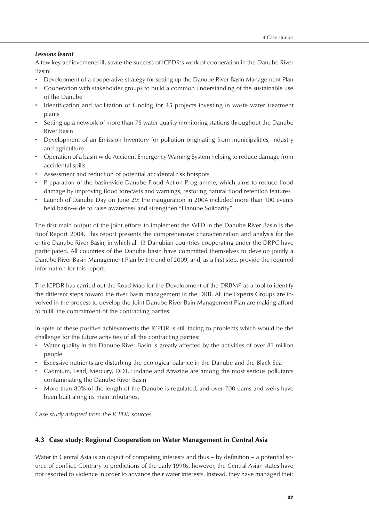# *Lessons learnt*

A few key achievements illustrate the success of ICPDR's work of cooperation in the Danube River Basin:

- Development of a cooperative strategy for setting up the Danube River Basin Management Plan
- Cooperation with stakeholder groups to build a common understanding of the sustainable use of the Danube
- Identification and facilitation of funding for 45 projects investing in waste water treatment plants
- Setting up a network of more than 75 water quality monitoring stations throughout the Danube River Basin
- Development of an Emission Inventory for pollution originating from municipalities, industry and agriculture
- Operation of a basin-wide Accident Emergency Warning System helping to reduce damage from accidental spills
- Assessment and reduction of potential accidental risk hotspots
- Preparation of the basin-wide Danube Flood Action Programme, which aims to reduce flood damage by improving flood forecasts and warnings, restoring natural flood retention features
- Launch of Danube Day on June 29: the inauguration in 2004 included more than 100 events held basin-wide to raise awareness and strengthen "Danube Solidarity".

The first main output of the joint efforts to implement the WFD in the Danube River Basin is the Roof Report 2004. This report presents the comprehensive characterization and analysis for the entire Danube River Basin, in which all 13 Danubian countries cooperating under the DRPC have participated. All countries of the Danube basin have committed themselves to develop jointly a Danube River Basin Management Plan by the end of 2009, and, as a first step, provide the required information for this report.

The ICPDR has carried out the Road Map for the Development of the DRBMP as a tool to identify the different steps toward the river basin management in the DRB. All the Experts Groups are involved in the process to develop the Joint Danube River Bain Management Plan are making afford to fulfill the commitment of the contracting parties.

In spite of these positive achievements the ICPDR is still facing to problems which would be the challenge for the future activities of all the contracting parties:

- Water quality in the Danube River Basin is greatly affected by the activities of over 81 million people
- Excessive nutrients are disturbing the ecological balance in the Danube and the Black Sea
- Cadmium, Lead, Mercury, DDT, Lindane and Atrazine are among the most serious pollutants contaminating the Danube River Basin
- More than 80% of the length of the Danube is regulated, and over 700 dams and weirs have been built along its main tributaries.

*Case study adapted from the ICPDR sources.*

# 4.3 Case study: Regional Cooperation on Water Management in Central Asia

Water in Central Asia is an object of competing interests and thus - by definition - a potential source of conflict. Contrary to predictions of the early 1990s, however, the Central Asian states have not resorted to violence in order to advance their water interests. Instead, they have managed their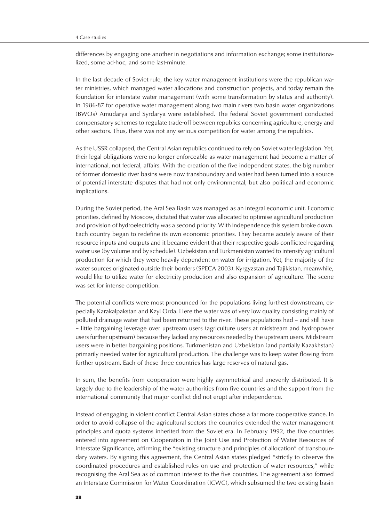differences by engaging one another in negotiations and information exchange; some institutionalized, some ad-hoc, and some last-minute.

In the last decade of Soviet rule, the key water management institutions were the republican water ministries, which managed water allocations and construction projects, and today remain the foundation for interstate water management (with some transformation by status and authority). In 1986-87 for operative water management along two main rivers two basin water organizations (BWOs) Amudarya and Syrdarya were established. The federal Soviet government conducted compensatory schemes to regulate trade-off between republics concerning agriculture, energy and other sectors. Thus, there was not any serious competition for water among the republics.

As the USSR collapsed, the Central Asian republics continued to rely on Soviet water legislation. Yet, their legal obligations were no longer enforceable as water management had become a matter of international, not federal, affairs. With the creation of the five independent states, the big number of former domestic river basins were now transboundary and water had been turned into a source of potential interstate disputes that had not only environmental, but also political and economic implications.

During the Soviet period, the Aral Sea Basin was managed as an integral economic unit. Economic priorities, defined by Moscow, dictated that water was allocated to optimise agricultural production and provision of hydroelectricity was a second priority. With independence this system broke down. Each country began to redefine its own economic priorities. They became acutely aware of their resource inputs and outputs and it became evident that their respective goals conflicted regarding water use (by volume and by schedule). Uzbekistan and Turkmenistan wanted to intensify agricultural production for which they were heavily dependent on water for irrigation. Yet, the majority of the water sources originated outside their borders (SPECA 2003). Kyrgyzstan and Tajikistan, meanwhile, would like to utilize water for electricity production and also expansion of agriculture. The scene was set for intense competition.

The potential conflicts were most pronounced for the populations living furthest downstream, especially Karakalpakstan and Kzyl Orda. Here the water was of very low quality consisting mainly of polluted drainage water that had been returned to the river. These populations had – and still have – little bargaining leverage over upstream users (agriculture users at midstream and hydropower users further upstream) because they lacked any resources needed by the upstream users. Midstream users were in better bargaining positions. Turkmenistan and Uzbekistan (and partially Kazakhstan) primarily needed water for agricultural production. The challenge was to keep water flowing from further upstream. Each of these three countries has large reserves of natural gas.

In sum, the benefits from cooperation were highly asymmetrical and unevenly distributed. It is largely due to the leadership of the water authorities from five countries and the support from the international community that major conflict did not erupt after independence.

Instead of engaging in violent conflict Central Asian states chose a far more cooperative stance. In order to avoid collapse of the agricultural sectors the countries extended the water management principles and quota systems inherited from the Soviet era. In February 1992, the five countries entered into agreement on Cooperation in the Joint Use and Protection of Water Resources of Interstate Significance, affirming the "existing structure and principles of allocation" of transboundary waters. By signing this agreement, the Central Asian states pledged "strictly to observe the coordinated procedures and established rules on use and protection of water resources," while recognising the Aral Sea as of common interest to the five countries. The agreement also formed an Interstate Commission for Water Coordination (ICWC), which subsumed the two existing basin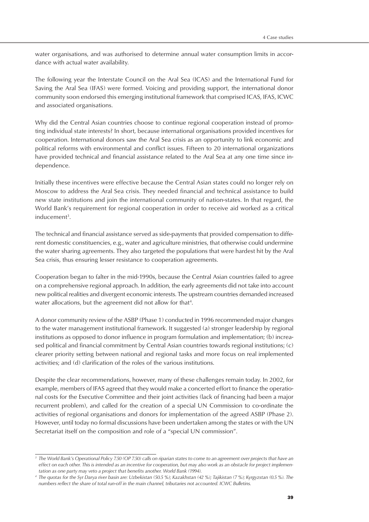water organisations, and was authorised to determine annual water consumption limits in accordance with actual water availability.

The following year the Interstate Council on the Aral Sea (ICAS) and the International Fund for Saving the Aral Sea (IFAS) were formed. Voicing and providing support, the international donor community soon endorsed this emerging institutional framework that comprised ICAS, IFAS, ICWC and associated organisations.

Why did the Central Asian countries choose to continue regional cooperation instead of promoting individual state interests? In short, because international organisations provided incentives for cooperation. International donors saw the Aral Sea crisis as an opportunity to link economic and political reforms with environmental and conflict issues. Fifteen to 20 international organizations have provided technical and financial assistance related to the Aral Sea at any one time since independence.

Initially these incentives were effective because the Central Asian states could no longer rely on Moscow to address the Aral Sea crisis. They needed financial and technical assistance to build new state institutions and join the international community of nation-states. In that regard, the World Bank's requirement for regional cooperation in order to receive aid worked as a critical inducement<sup>3</sup>.

The technical and financial assistance served as side-payments that provided compensation to different domestic constituencies, e.g., water and agriculture ministries, that otherwise could undermine the water sharing agreements. They also targeted the populations that were hardest hit by the Aral Sea crisis, thus ensuring lesser resistance to cooperation agreements.

Cooperation began to falter in the mid-1990s, because the Central Asian countries failed to agree on a comprehensive regional approach. In addition, the early agreements did not take into account new political realities and divergent economic interests. The upstream countries demanded increased water allocations, but the agreement did not allow for that<sup>4</sup>.

A donor community review of the ASBP (Phase 1) conducted in 1996 recommended major changes to the water management institutional framework. It suggested (a) stronger leadership by regional institutions as opposed to donor influence in program formulation and implementation; (b) increased political and financial commitment by Central Asian countries towards regional institutions; (c) clearer priority setting between national and regional tasks and more focus on real implemented activities; and (d) clarification of the roles of the various institutions.

Despite the clear recommendations, however, many of these challenges remain today. In 2002, for example, members of IFAS agreed that they would make a concerted effort to finance the operational costs for the Executive Committee and their joint activities (lack of financing had been a major recurrent problem), and called for the creation of a special UN Commission to co-ordinate the activities of regional organisations and donors for implementation of the agreed ASBP (Phase 2). However, until today no formal discussions have been undertaken among the states or with the UN Secretariat itself on the composition and role of a "special UN commission".

<sup>&</sup>lt;sup>3</sup> The World Bank's Operational Policy 7.50 (OP 7.50) calls on riparian states to come to an agreement over projects that have an *effect on each other. This is intended as an incentive for cooperation, but may also work as an obstacle for project implementation as one party may veto a project that benefits another. World Bank (1994).*

*<sup>4</sup> The quotas for the Syr Darya river basin are: Uzbekistan (50.5 %); Kazakhstan (42 %); Tajikistan (7 %); Kyrgyzstan (0.5 %). The numbers reflect the share of total run-off in the main channel, tributaries not accounted. ICWC Bulletins.*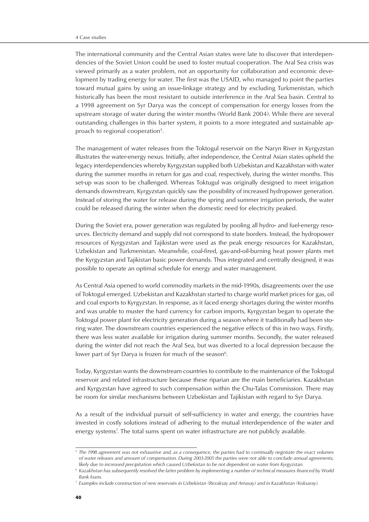The international community and the Central Asian states were late to discover that interdependencies of the Soviet Union could be used to foster mutual cooperation. The Aral Sea crisis was viewed primarily as a water problem, not an opportunity for collaboration and economic development by trading energy for water. The first was the USAID, who managed to point the parties toward mutual gains by using an issue-linkage strategy and by excluding Turkmenistan, which historically has been the most resistant to outside interference in the Aral Sea basin. Central to a 1998 agreement on Syr Darya was the concept of compensation for energy losses from the upstream storage of water during the winter months (World Bank 2004). While there are several outstanding challenges in this barter system, it points to a more integrated and sustainable approach to regional cooperation<sup>5</sup>.

The management of water releases from the Toktogul reservoir on the Naryn River in Kyrgyzstan illustrates the water-energy nexus. Initially, after independence, the Central Asian states upheld the legacy interdependencies whereby Kyrgyzstan supplied both Uzbekistan and Kazakhstan with water during the summer months in return for gas and coal, respectively, during the winter months. This set-up was soon to be challenged. Whereas Toktugul was originally designed to meet irrigation demands downstream, Kyrgyzstan quickly saw the possibility of increased hydropower generation. Instead of storing the water for release during the spring and summer irrigation periods, the water could be released during the winter when the domestic need for electricity peaked.

During the Soviet era, power generation was regulated by pooling all hydro- and fuel-energy resources. Electricity demand and supply did not correspond to state borders. Instead, the hydropower resources of Kyrgyzstan and Tajikistan were used as the peak energy resources for Kazakhstan, Uzbekistan and Turkmenistan. Meanwhile, coal-fired, gas-and-oil-burning heat power plants met the Kyrgyzstan and Tajikistan basic power demands. Thus integrated and centrally designed, it was possible to operate an optimal schedule for energy and water management.

As Central Asia opened to world commodity markets in the mid-1990s, disagreements over the use of Toktogul emerged. Uzbekistan and Kazakhstan started to charge world market prices for gas, oil and coal exports to Kyrgyzstan. In response, as it faced energy shortages during the winter months and was unable to muster the hard currency for carbon imports, Kyrgyzstan began to operate the Toktogul power plant for electricity generation during a season where it traditionally had been storing water. The downstream countries experienced the negative effects of this in two ways. Firstly, there was less water available for irrigation during summer months. Secondly, the water released during the winter did not reach the Aral Sea, but was diverted to a local depression because the lower part of Syr Darya is frozen for much of the season<sup>6</sup>.

Today, Kyrgyzstan wants the downstream countries to contribute to the maintenance of the Toktogul reservoir and related infrastructure because these riparian are the main beneficiaries. Kazakhstan and Kyrgyzstan have agreed to such compensation within the Chu-Talas Commission. There may be room for similar mechanisms between Uzbekistan and Tajikistan with regard to Syr Darya.

As a result of the individual pursuit of self-sufficiency in water and energy, the countries have invested in costly solutions instead of adhering to the mutual interdependence of the water and energy systems<sup>7</sup>. The total sums spent on water infrastructure are not publicly available.

*<sup>5</sup> The 1998 agreement was not exhaustive and, as a consequence, the parties had to continually negotiate the exact volumes of water releases and amount of compensation. During 2003-2005 the parties were not able to conclude annual agreements, likely due to increased precipitation which caused Uzbekistan to be not dependent on water from Kyrgyzstan.*

*<sup>6</sup> Kazakhstan has subsequently resolved the latter problem by implementing a number of technical measures financed by World Bank loans.*

*<sup>7</sup> Examples include construction of new reservoirs in Uzbekistan (Rezaksay and Arnasay) and in Kazakhstan (Koksaray).*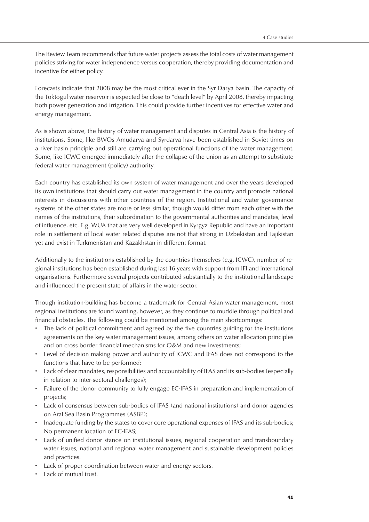The Review Team recommends that future water projects assess the total costs of water management policies striving for water independence versus cooperation, thereby providing documentation and incentive for either policy.

Forecasts indicate that 2008 may be the most critical ever in the Syr Darya basin. The capacity of the Toktogul water reservoir is expected be close to "death level" by April 2008, thereby impacting both power generation and irrigation. This could provide further incentives for effective water and energy management.

As is shown above, the history of water management and disputes in Central Asia is the history of institutions. Some, like BWOs Amudarya and Syrdarya have been established in Soviet times on a river basin principle and still are carrying out operational functions of the water management. Some, like ICWC emerged immediately after the collapse of the union as an attempt to substitute federal water management (policy) authority.

Each country has established its own system of water management and over the years developed its own institutions that should carry out water management in the country and promote national interests in discussions with other countries of the region. Institutional and water governance systems of the other states are more or less similar, though would differ from each other with the names of the institutions, their subordination to the governmental authorities and mandates, level of influence, etc. E.g. WUA that are very well developed in Kyrgyz Republic and have an important role in settlement of local water related disputes are not that strong in Uzbekistan and Tajikistan yet and exist in Turkmenistan and Kazakhstan in different format.

Additionally to the institutions established by the countries themselves (e.g. ICWC), number of regional institutions has been established during last 16 years with support from IFI and international organisations. Furthermore several projects contributed substantially to the institutional landscape and influenced the present state of affairs in the water sector.

Though institution-building has become a trademark for Central Asian water management, most regional institutions are found wanting, however, as they continue to muddle through political and financial obstacles. The following could be mentioned among the main shortcomings:

- The lack of political commitment and agreed by the five countries guiding for the institutions agreements on the key water management issues, among others on water allocation principles and on cross border financial mechanisms for O&M and new investments;
- Level of decision making power and authority of ICWC and IFAS does not correspond to the functions that have to be performed;
- Lack of clear mandates, responsibilities and accountability of IFAS and its sub-bodies (especially in relation to inter-sectoral challenges);
- Failure of the donor community to fully engage EC-IFAS in preparation and implementation of projects;
- Lack of consensus between sub-bodies of IFAS (and national institutions) and donor agencies on Aral Sea Basin Programmes (ASBP);
- Inadequate funding by the states to cover core operational expenses of IFAS and its sub-bodies; No permanent location of EC-IFAS;
- Lack of unified donor stance on institutional issues, regional cooperation and transboundary water issues, national and regional water management and sustainable development policies and practices.
- Lack of proper coordination between water and energy sectors.
- Lack of mutual trust.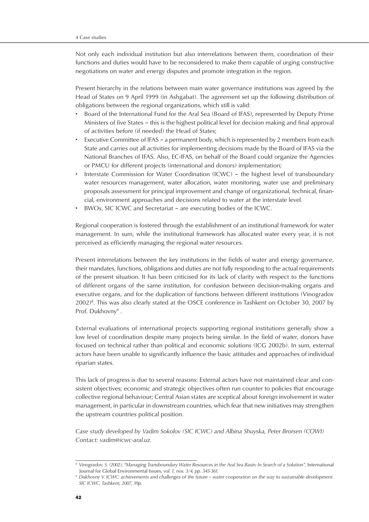Not only each individual institution but also interrelations between them, coordination of their functions and duties would have to be reconsidered to make them capable of urging constructive negotiations on water and energy disputes and promote integration in the region.

Present hierarchy in the relations between main water governance institutions was agreed by the Head of States on 9 April 1999 (in Ashgabat). The agreement set up the following distribution of obligations between the regional organizations, which still is valid:

- Board of the International Fund for the Aral Sea (Board of IFAS), represented by Deputy Prime Ministers of five States – this is the highest political level for decision making and final approval of activities before (if needed) the Head of States;
- Executive Committee of IFAS a permanent body, which is represented by 2 members from each State and carries out all activities for implementing decisions made by the Board of IFAS via the National Branches of IFAS. Also, EC-IFAS, on behalf of the Board could organize the Agencies or PMCU for different projects (international and donors) implementation;
- Interstate Commission for Water Coordination (ICWC) the highest level of transboundary water resources management, water allocation, water monitoring, water use and preliminary proposals assessment for principal improvement and change of organizational, technical, financial, environment approaches and decisions related to water at the interstate level.
- BWOs, SIC ICWC and Secretariat are executing bodies of the ICWC.

Regional cooperation is fostered through the establishment of an institutional framework for water management. In sum, while the institutional framework has allocated water every year, it is not perceived as efficiently managing the regional water resources.

Present interrelations between the key institutions in the fields of water and energy governance, their mandates, functions, obligations and duties are not fully responding to the actual requirements of the present situation. It has been criticised for its lack of clarity with respect to the functions of different organs of the same institution, for confusion between decision-making organs and executive organs, and for the duplication of functions between different institutions (Vinogradov 2002)8 . This was also clearly stated at the OSCE conference in Tashkent on October 30, 2007 by Prof. Dukhovny<sup>9</sup>.

External evaluations of international projects supporting regional institutions generally show a low level of coordination despite many projects being similar. In the field of water, donors have focused on technical rather than political and economic solutions (ICG 2002b). In sum, external actors have been unable to significantly influence the basic attitudes and approaches of individual riparian states.

This lack of progress is due to several reasons: External actors have not maintained clear and consistent objectives; economic and strategic objectives often run counter to policies that encourage collective regional behaviour; Central Asian states are sceptical about foreign involvement in water management, in particular in downstream countries, which fear that new initiatives may strengthen the upstream countries political position.

*Case study developed by Vadim Sokolov (SIC ICWC) and Albina Shuyska, Peter Brorsen (COWI) Contact: vadim@icwc-aral.uz.*

 $^{\rm 8}$  Vinogradov, S. (2002), "Managing Transboundary Water Resources in the Aral Sea Basin: In Search of a Solution", International Journal for Global Environmental Issues*, vol. 1, nos. 3/4, pp. 345-361.*

*<sup>9</sup> Dukhovny V. ICWC: achievements and challenges of the future – water cooperation on the way to sustainable development. SIC ICWC, Tashkent, 2007, 39p.*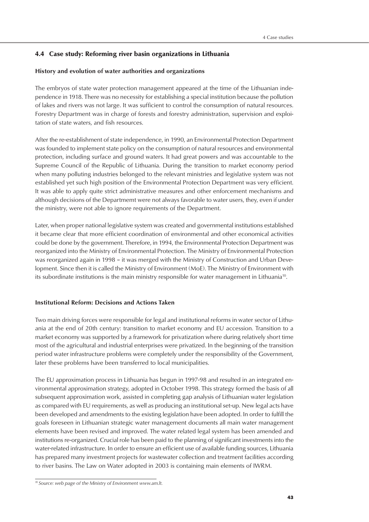# 4.4 Case study: Reforming river basin organizations in Lithuania

# **History and evolution of water authorities and organizations**

The embryos of state water protection management appeared at the time of the Lithuanian independence in 1918. There was no necessity for establishing a special institution because the pollution of lakes and rivers was not large. It was sufficient to control the consumption of natural resources. Forestry Department was in charge of forests and forestry administration, supervision and exploitation of state waters, and fish resources.

After the re-establishment of state independence, in 1990, an Environmental Protection Department was founded to implement state policy on the consumption of natural resources and environmental protection, including surface and ground waters. It had great powers and was accountable to the Supreme Council of the Republic of Lithuania. During the transition to market economy period when many polluting industries belonged to the relevant ministries and legislative system was not established yet such high position of the Environmental Protection Department was very efficient. It was able to apply quite strict administrative measures and other enforcement mechanisms and although decisions of the Departmemt were not always favorable to water users, they, even if under the ministry, were not able to ignore requirements of the Department.

Later, when proper national legislative system was created and governmental institutions established it became clear that more efficient coordination of environmental and other economical activities could be done by the government. Therefore, in 1994, the Environmental Protection Department was reorganized into the Ministry of Environmental Protection. The Ministry of Environmental Protection was reorganized again in 1998 – it was merged with the Ministry of Construction and Urban Development. Since then it is called the Ministry of Environment (MoE). The Ministry of Environment with its subordinate institutions is the main ministry responsible for water management in Lithuania<sup>10</sup>.

# **Institutional Reform: Decisions and Actions Taken**

Two main driving forces were responsible for legal and institutional reforms in water sector of Lithuania at the end of 20th century: transition to market economy and EU accession. Transition to a market economy was supported by a framework for privatization where during relatively short time most of the agricultural and industrial enterprises were privatized. In the beginning of the transition period water infrastructure problems were completely under the responsibility of the Government, later these problems have been transferred to local municipalities.

The EU approximation process in Lithuania has begun in 1997-98 and resulted in an integrated environmental approximation strategy, adopted in October 1998. This strategy formed the basis of all subsequent approximation work, assisted in completing gap analysis of Lithuanian water legislation as compared with EU requirements, as well as producing an institutional set-up. New legal acts have been developed and amendments to the existing legislation have been adopted. In order to fulfill the goals foreseen in Lithuanian strategic water management documents all main water management elements have been revised and improved. The water related legal system has been amended and institutions re-organized. Crucial role has been paid to the planning of significant investments into the water-related infrastructure. In order to ensure an efficient use of available funding sources, Lithuania has prepared many investment projects for wastewater collection and treatment facilities according to river basins. The Law on Water adopted in 2003 is containing main elements of IWRM.

*<sup>10</sup> Source: web page of the Ministry of Environment www.am.lt.*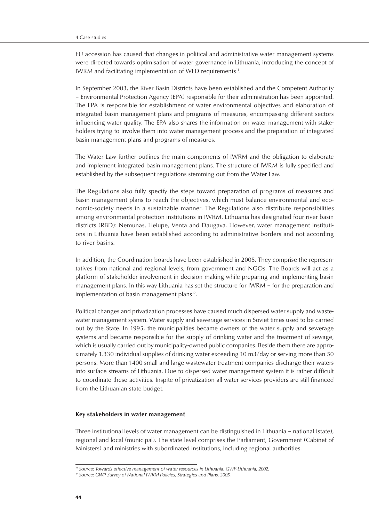EU accession has caused that changes in political and administrative water management systems were directed towards optimisation of water governance in Lithuania, introducing the concept of IWRM and facilitating implementation of WFD requirements<sup>11</sup>.

In September 2003, the River Basin Districts have been established and the Competent Authority – Environmental Protection Agency (EPA) responsible for their administration has been appointed. The EPA is responsible for establishment of water environmental objectives and elaboration of integrated basin management plans and programs of measures, encompassing different sectors influencing water quality. The EPA also shares the information on water management with stakeholders trying to involve them into water management process and the preparation of integrated basin management plans and programs of measures.

The Water Law further outlines the main components of IWRM and the obligation to elaborate and implement integrated basin management plans. The structure of IWRM is fully specified and established by the subsequent regulations stemming out from the Water Law.

The Regulations also fully specify the steps toward preparation of programs of measures and basin management plans to reach the objectives, which must balance environmental and economic-society needs in a sustainable manner. The Regulations also distribute responsibilities among environmental protection institutions in IWRM. Lithuania has designated four river basin districts (RBD): Nemunas, Lielupe, Venta and Daugava. However, water management institutions in Lithuania have been established according to administrative borders and not according to river basins.

In addition, the Coordination boards have been established in 2005. They comprise the representatives from national and regional levels, from government and NGOs. The Boards will act as a platform of stakeholder involvement in decision making while preparing and implementing basin management plans. In this way Lithuania has set the structure for IWRM – for the preparation and implementation of basin management plans<sup>12</sup>.

Political changes and privatization processes have caused much dispersed water supply and wastewater management system. Water supply and sewerage services in Soviet times used to be carried out by the State. In 1995, the municipalities became owners of the water supply and sewerage systems and became responsible for the supply of drinking water and the treatment of sewage, which is usually carried out by municipality-owned public companies. Beside them there are approximately 1.330 individual supplies of drinking water exceeding 10 m3/day or serving more than 50 persons. More than 1400 small and large wastewater treatment companies discharge their waters into surface streams of Lithuania. Due to dispersed water management system it is rather difficult to coordinate these activities. Inspite of privatization all water services providers are still financed from the Lithuanian state budget.

#### **Key stakeholders in water management**

Three institutional levels of water management can be distinguished in Lithuania – national (state), regional and local (municipal). The state level comprises the Parliament, Government (Cabinet of Ministers) and ministries with subordinated institutions, including regional authorities.

*<sup>11</sup> Source: Towards effective management of water resources in Lithuania. GWP-Lithuania, 2002.*

*<sup>12</sup> Source: GWP Survey of National IWRM Policies, Strategies and Plans, 2005.*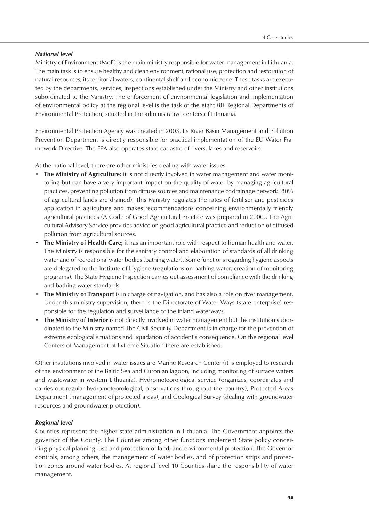# *National level*

Ministry of Environment (MoE) is the main ministry responsible for water management in Lithuania. The main task is to ensure healthy and clean environment, rational use, protection and restoration of natural resources, its territorial waters, continental shelf and economic zone. These tasks are executed by the departments, services, inspections established under the Ministry and other institutions subordinated to the Ministry. The enforcement of environmental legislation and implementation of environmental policy at the regional level is the task of the eight (8) Regional Departments of Environmental Protection, situated in the administrative centers of Lithuania.

Environmental Protection Agency was created in 2003. Its River Basin Management and Pollution Prevention Department is directly responsible for practical implementation of the EU Water Framework Directive. The EPA also operates state cadastre of rivers, lakes and reservoirs.

At the national level, there are other ministries dealing with water issues:

- **The Ministry of Agriculture**; it is not directly involved in water management and water monitoring but can have a very important impact on the quality of water by managing agricultural practices, preventing pollution from diffuse sources and maintenance of drainage network (80% of agricultural lands are drained). This Ministry regulates the rates of fertiliser and pesticides application in agriculture and makes recommendations concerning environmentally friendly agricultural practices (A Code of Good Agricultural Practice was prepared in 2000). The Agricultural Advisory Service provides advice on good agricultural practice and reduction of diffused pollution from agricultural sources.
- **The Ministry of Health Care;** it has an important role with respect to human health and water. The Ministry is responsible for the sanitary control and elaboration of standards of all drinking water and of recreational water bodies (bathing water). Some functions regarding hygiene aspects are delegated to the Institute of Hygiene (regulations on bathing water, creation of monitoring programs). The State Hygiene Inspection carries out assessment of compliance with the drinking and bathing water standards.
- **The Ministry of Transport** is in charge of navigation, and has also a role on river management. Under this ministry supervision, there is the Directorate of Water Ways (state enterprise) responsible for the regulation and surveillance of the inland waterways.
- **The Ministry of Interior** is not directly involved in water management but the institution subordinated to the Ministry named The Civil Security Department is in charge for the prevention of extreme ecological situations and liquidation of accident's consequence. On the regional level Centers of Management of Extreme Situation there are established.

Other institutions involved in water issues are Marine Research Center (it is employed to research of the environment of the Baltic Sea and Curonian lagoon, including monitoring of surface waters and wastewater in western Lithuania), Hydrometeorological service (organizes, coordinates and carries out regular hydrometeorological, observations throughout the country), Protected Areas Department (management of protected areas), and Geological Survey (dealing with groundwater resources and groundwater protection).

# *Regional level*

Counties represent the higher state administration in Lithuania. The Government appoints the governor of the County. The Counties among other functions implement State policy concerning physical planning, use and protection of land, and environmental protection. The Governor controls, among others, the management of water bodies, and of protection strips and protection zones around water bodies. At regional level 10 Counties share the responsibility of water management.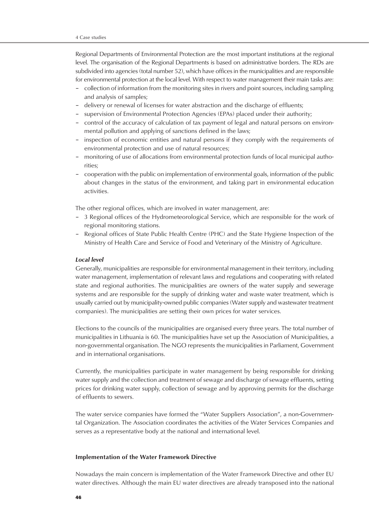Regional Departments of Environmental Protection are the most important institutions at the regional level. The organisation of the Regional Departments is based on administrative borders. The RDs are subdivided into agencies (total number 52), which have offices in the municipalities and are responsible for environmental protection at the local level. With respect to water management their main tasks are:

- collection of information from the monitoring sites in rivers and point sources, including sampling and analysis of samples;
- delivery or renewal of licenses for water abstraction and the discharge of effluents;
- supervision of Environmental Protection Agencies (EPAs) placed under their authority;
- control of the accuracy of calculation of tax payment of legal and natural persons on environmental pollution and applying of sanctions defined in the laws;
- inspection of economic entities and natural persons if they comply with the requirements of environmental protection and use of natural resources;
- monitoring of use of allocations from environmental protection funds of local municipal authorities;
- cooperation with the public on implementation of environmental goals, information of the public about changes in the status of the environment, and taking part in environmental education activities.

The other regional offices, which are involved in water management, are:

- 3 Regional offices of the Hydrometeorological Service, which are responsible for the work of regional monitoring stations.
- Regional offices of State Public Health Centre (PHC) and the State Hygiene Inspection of the Ministry of Health Care and Service of Food and Veterinary of the Ministry of Agriculture.

#### *Local level*

Generally, municipalities are responsible for environmental management in their territory, including water management, implementation of relevant laws and regulations and cooperating with related state and regional authorities. The municipalities are owners of the water supply and sewerage systems and are responsible for the supply of drinking water and waste water treatment, which is usually carried out by municipality-owned public companies (Water supply and wastewater treatment companies). The municipalities are setting their own prices for water services.

Elections to the councils of the municipalities are organised every three years. The total number of municipalities in Lithuania is 60. The municipalities have set up the Association of Municipalities, a non-governmental organisation. The NGO represents the municipalities in Parliament, Government and in international organisations.

Currently, the municipalities participate in water management by being responsible for drinking water supply and the collection and treatment of sewage and discharge of sewage effluents, setting prices for drinking water supply, collection of sewage and by approving permits for the discharge of effluents to sewers.

The water service companies have formed the "Water Suppliers Association", a non-Governmental Organization. The Association coordinates the activities of the Water Services Companies and serves as a representative body at the national and international level.

# **Implementation of the Water Framework Directive**

Nowadays the main concern is implementation of the Water Framework Directive and other EU water directives. Although the main EU water directives are already transposed into the national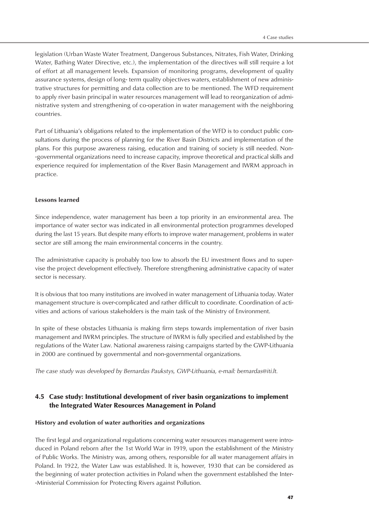legislation (Urban Waste Water Treatment, Dangerous Substances, Nitrates, Fish Water, Drinking Water, Bathing Water Directive, etc.), the implementation of the directives will still require a lot of effort at all management levels. Expansion of monitoring programs, development of quality assurance systems, design of long- term quality objectives waters, establishment of new administrative structures for permitting and data collection are to be mentioned. The WFD requirement to apply river basin principal in water resources management will lead to reorganization of administrative system and strengthening of co-operation in water management with the neighboring countries.

Part of Lithuania's obligations related to the implementation of the WFD is to conduct public consultations during the process of planning for the River Basin Districts and implementation of the plans. For this purpose awareness raising, education and training of society is still needed. Non- -governmental organizations need to increase capacity, improve theoretical and practical skills and experience required for implementation of the River Basin Management and IWRM approach in practice.

# **Lessons learned**

Since independence, water management has been a top priority in an environmental area. The importance of water sector was indicated in all environmental protection programmes developed during the last 15 years. But despite many efforts to improve water management, problems in water sector are still among the main environmental concerns in the country.

The administrative capacity is probably too low to absorb the EU investment flows and to supervise the project development effectively. Therefore strengthening administrative capacity of water sector is necessary.

It is obvious that too many institutions are involved in water management of Lithuania today. Water management structure is over-complicated and rather difficult to coordinate. Coordination of activities and actions of various stakeholders is the main task of the Ministry of Environment.

In spite of these obstacles Lithuania is making firm steps towards implementation of river basin management and IWRM principles. The structure of IWRM is fully specified and established by the regulations of the Water Law. National awareness raising campaigns started by the GWP-Lithuania in 2000 are continued by governmental and non-governmental organizations.

*The case study was developed by Bernardas Paukstys, GWP-Lithuania, e-mail: bernardas@iti.lt.*

# 4.5 Case study: Institutional development of river basin organizations to implement the Integrated Water Resources Management in Poland

# **History and evolution of water authorities and organizations**

The first legal and organizational regulations concerning water resources management were introduced in Poland reborn after the 1st World War in 1919, upon the establishment of the Ministry of Public Works. The Ministry was, among others, responsible for all water management affairs in Poland. In 1922, the Water Law was established. It is, however, 1930 that can be considered as the beginning of water protection activities in Poland when the government established the Inter- -Ministerial Commission for Protecting Rivers against Pollution.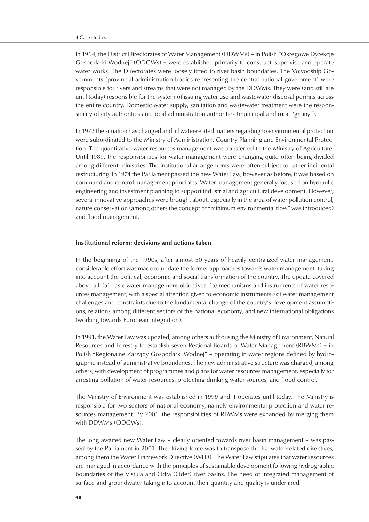In 1964, the District Directorates of Water Management (DDWMs) – in Polish "Okregowe Dyrekcje Gospodarki Wodnej" (ODGWs) – were established primarily to construct, supervise and operate water works. The Directorates were loosely fitted to river basin boundaries. The Voivodship Governments (provincial administration bodies representing the central national government) were responsible for rivers and streams that were not managed by the DDWMs. They were (and still are until today) responsible for the system of issuing water use and wastewater disposal permits across the entire country. Domestic water supply, sanitation and wastewater treatment were the responsibility of city authorities and local administration authorities (municipal and rural "gminy").

In 1972 the situation has changed and all water-related matters regarding to environmental protection were subordinated to the Ministry of Administration, Country Planning and Environmental Protection. The quantitative water resources management was transferred to the Ministry of Agriculture. Until 1989, the responsibilities for water management were changing quite often being divided among different ministries. The institutional arrangements were often subject to rather incidental restructuring. In 1974 the Parliament passed the new Water Law, however as before, it was based on command and control management principles. Water management generally focused on hydraulic engineering and investment planning to support industrial and agricultural development. However, several innovative approaches were brought about, especially in the area of water pollution control, nature conservation (among others the concept of "minimum environmental flow" was introduced) and flood management.

#### **Institutional reform: decisions and actions taken**

In the beginning of the 1990s, after almost 50 years of heavily centralized water management, considerable effort was made to update the former approaches towards water management, taking into account the political, economic and social transformation of the country. The update covered above all: (a) basic water management objectives, (b) mechanisms and instruments of water resources management, with a special attention given to economic instruments, (c) water management challenges and constraints due to the fundamental change of the country's development assumptions, relations among different sectors of the national economy, and new international obligations (working towards European integration).

In 1991, the Water Law was updated, among others authorising the Ministry of Environment, Natural Resources and Forestry to establish seven Regional Boards of Water Management (RBWMs) – in Polish "Regionalne Zarządy Gospodarki Wodnej" – operating in water regions defined by hydrographic instead of administrative boundaries. The new administrative structure was charged, among others, with development of programmes and plans for water resources management, especially for arresting pollution of water resources, protecting drinking water sources, and flood control.

The Ministry of Environment was established in 1999 and it operates until today. The Ministry is responsible for two sectors of national economy, namely environmental protection and water resources management. By 2001, the responsibilities of RBWMs were expanded by merging them with DDWMs (ODGWs).

The long awaited new Water Law – clearly oriented towards river basin management – was passed by the Parliament in 2001. The driving force was to transpose the EU water-related directives, among them the Water Framework Directive (WFD). The Water Law stipulates that water resources are managed in accordance with the principles of sustainable development following hydrographic boundaries of the Vistula and Odra (Oder) river basins. The need of integrated management of surface and groundwater taking into account their quantity and quality is underlined.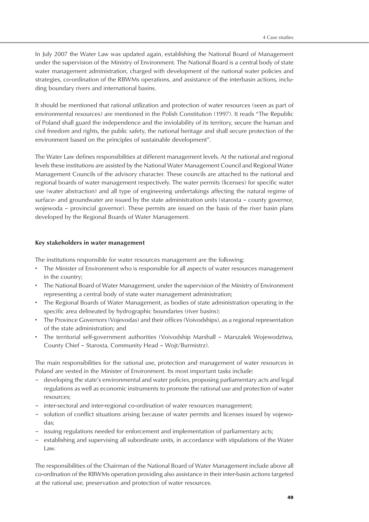In July 2007 the Water Law was updated again, establishing the National Board of Management under the supervision of the Ministry of Environment. The National Board is a central body of state water management administration, charged with development of the national water policies and strategies, co-ordination of the RBWMs operations, and assistance of the interbasin actions, including boundary rivers and international basins.

It should be mentioned that rational utilization and protection of water resources (seen as part of environmental resources) are mentioned in the Polish Constitution (1997). It reads "The Republic of Poland shall guard the independence and the inviolability of its territory, secure the human and civil freedom and rights, the public safety, the national heritage and shall secure protection of the environment based on the principles of sustainable development".

The Water Law defines responsibilities at different management levels. At the national and regional levels these institutions are assisted by the National Water Management Council and Regional Water Management Councils of the advisory character. These councils are attached to the national and regional boards of water management respectively. The water permits (licenses) for specific water use (water abstraction) and all type of engineering undertakings affecting the natural regime of surface- and groundwater are issued by the state administration units (starosta – county governor, wojewoda – provincial governor). These permits are issued on the basis of the river basin plans developed by the Regional Boards of Water Management.

# **Key stakeholders in water management**

The institutions responsible for water resources management are the following:

- The Minister of Environment who is responsible for all aspects of water resources management in the country;
- The National Board of Water Management, under the supervision of the Ministry of Environment representing a central body of state water management administration;
- The Regional Boards of Water Management, as bodies of state administration operating in the specific area delineated by hydrographic boundaries (river basins);
- The Province Governors (Vojevodas) and their offices (Voivodships), as a regional representation of the state administration; and
- The territorial self-government authorities (Voivodship Marshall Marszalek Wojewodztwa, County Chief – Starosta, Community Head – Wojt/Burmistrz).

The main responsibilities for the rational use, protection and management of water resources in Poland are vested in the Minister of Environment. Its most important tasks include:

- developing the state's environmental and water policies, proposing parliamentary acts and legal regulations as well as economic instruments to promote the rational use and protection of water resources;
- inter-sectoral and inter-regional co-ordination of water resources management;
- solution of conflict situations arising because of water permits and licenses issued by vojewodas;
- issuing regulations needed for enforcement and implementation of parliamentary acts;
- establishing and supervising all subordinate units, in accordance with stipulations of the Water Law.

The responsibilities of the Chairman of the National Board of Water Management include above all co-ordination of the RBWMs operation providing also assistance in their inter-basin actions targeted at the rational use, preservation and protection of water resources.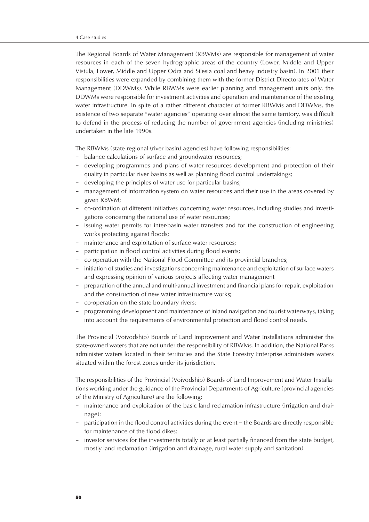The Regional Boards of Water Management (RBWMs) are responsible for management of water resources in each of the seven hydrographic areas of the country (Lower, Middle and Upper Vistula, Lower, Middle and Upper Odra and Silesia coal and heavy industry basin). In 2001 their responsibilities were expanded by combining them with the former District Directorates of Water Management (DDWMs). While RBWMs were earlier planning and management units only, the DDWMs were responsible for investment activities and operation and maintenance of the existing water infrastructure. In spite of a rather different character of former RBWMs and DDWMs, the existence of two separate "water agencies" operating over almost the same territory, was difficult to defend in the process of reducing the number of government agencies (including ministries) undertaken in the late 1990s.

The RBWMs (state regional (river basin) agencies) have following responsibilities:

- balance calculations of surface and groundwater resources;
- developing programmes and plans of water resources development and protection of their quality in particular river basins as well as planning flood control undertakings;
- developing the principles of water use for particular basins;
- management of information system on water resources and their use in the areas covered by given RBWM;
- co-ordination of different initiatives concerning water resources, including studies and investigations concerning the rational use of water resources;
- issuing water permits for inter-basin water transfers and for the construction of engineering works protecting against floods;
- maintenance and exploitation of surface water resources;
- participation in flood control activities during flood events;
- co-operation with the National Flood Committee and its provincial branches;
- initiation of studies and investigations concerning maintenance and exploitation of surface waters and expressing opinion of various projects affecting water management
- preparation of the annual and multi-annual investment and financial plans for repair, exploitation and the construction of new water infrastructure works;
- co-operation on the state boundary rivers;
- programming development and maintenance of inland navigation and tourist waterways, taking into account the requirements of environmental protection and flood control needs.

The Provincial (Voivodship) Boards of Land Improvement and Water Installations administer the state-owned waters that are not under the responsibility of RBWMs. In addition, the National Parks administer waters located in their territories and the State Forestry Enterprise administers waters situated within the forest zones under its jurisdiction.

The responsibilities of the Provincial (Voivodship) Boards of Land Improvement and Water Installations working under the guidance of the Provincial Departments of Agriculture (provincial agencies of the Ministry of Agriculture) are the following:

- maintenance and exploitation of the basic land reclamation infrastructure (irrigation and drainage);
- participation in the flood control activities during the event the Boards are directly responsible for maintenance of the flood dikes;
- investor services for the investments totally or at least partially financed from the state budget, mostly land reclamation (irrigation and drainage, rural water supply and sanitation).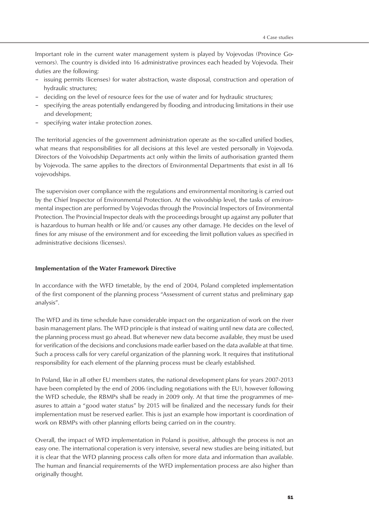Important role in the current water management system is played by Vojevodas (Province Governors). The country is divided into 16 administrative provinces each headed by Vojevoda. Their duties are the following:

- issuing permits (licenses) for water abstraction, waste disposal, construction and operation of hydraulic structures;
- deciding on the level of resource fees for the use of water and for hydraulic structures;
- specifying the areas potentially endangered by flooding and introducing limitations in their use and development;
- specifying water intake protection zones.

The territorial agencies of the government administration operate as the so-called unified bodies, what means that responsibilities for all decisions at this level are vested personally in Vojevoda. Directors of the Voivodship Departments act only within the limits of authorisation granted them by Vojevoda. The same applies to the directors of Environmental Departments that exist in all 16 vojevodships.

The supervision over compliance with the regulations and environmental monitoring is carried out by the Chief Inspector of Environmental Protection. At the voivodship level, the tasks of environmental inspection are performed by Vojevodas through the Provincial Inspectors of Environmental Protection. The Provincial Inspector deals with the proceedings brought up against any polluter that is hazardous to human health or life and/or causes any other damage. He decides on the level of fines for any misuse of the environment and for exceeding the limit pollution values as specified in administrative decisions (licenses).

# **Implementation of the Water Framework Directive**

In accordance with the WFD timetable, by the end of 2004, Poland completed implementation of the first component of the planning process "Assessment of current status and preliminary gap analysis".

The WFD and its time schedule have considerable impact on the organization of work on the river basin management plans. The WFD principle is that instead of waiting until new data are collected, the planning process must go ahead. But whenever new data become available, they must be used for verification of the decisions and conclusions made earlier based on the data available at that time. Such a process calls for very careful organization of the planning work. It requires that institutional responsibility for each element of the planning process must be clearly established.

In Poland, like in all other EU members states, the national development plans for years 2007-2013 have been completed by the end of 2006 (including negotiations with the EU), however following the WFD schedule, the RBMPs shall be ready in 2009 only. At that time the programmes of measures to attain a "good water status" by 2015 will be finalized and the necessary funds for their implementation must be reserved earlier. This is just an example how important is coordination of work on RBMPs with other planning efforts being carried on in the country.

Overall, the impact of WFD implementation in Poland is positive, although the process is not an easy one. The international coperation is very intensive, several new studies are being initiated, but it is clear that the WFD planning process calls often for more data and information than available. The human and financial requiremernts of the WFD implementation process are also higher than originally thought.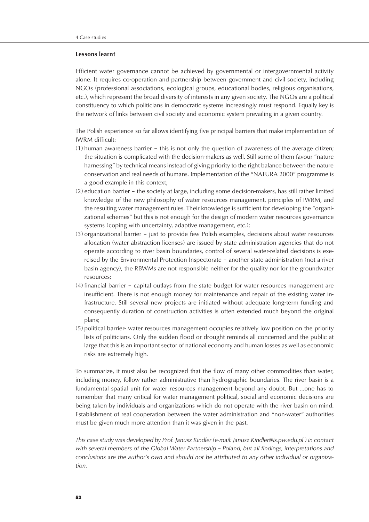#### **Lessons learnt**

Efficient water governance cannot be achieved by governmental or intergovernmental activity alone. It requires co-operation and partnership between government and civil society, including NGOs (professional associations, ecological groups, educational bodies, religious organisations, etc.), which represent the broad diversity of interests in any given society. The NGOs are a political constituency to which politicians in democratic systems increasingly must respond. Equally key is the network of links between civil society and economic system prevailing in a given country.

The Polish experience so far allows identifying five principal barriers that make implementation of IWRM difficult:

- (1) human awareness barrier this is not only the question of awareness of the average citizen; the situation is complicated with the decision-makers as well. Still some of them favour "nature harnessing" by technical means instead of giving priority to the right balance between the nature conservation and real needs of humans. Implementation of the "NATURA 2000" programme is a good example in this context;
- (2) education barrier the society at large, including some decision-makers, has still rather limited knowledge of the new philosophy of water resources management, principles of IWRM, and the resulting water management rules. Their knowledge is sufficient for developing the "organizational schemes" but this is not enough for the design of modern water resources governance systems (coping with uncertainty, adaptive management, etc.);
- (3) organizational barrier just to provide few Polish examples, decisions about water resources allocation (water abstraction licenses) are issued by state administration agencies that do not operate according to river basin boundaries, control of several water-related decisions is exercised by the Environmental Protection Inspectorate – another state administration (not a river basin agency), the RBWMs are not responsible neither for the quality nor for the groundwater resources;
- (4) financial barrier capital outlays from the state budget for water resources management are insufficient. There is not enough money for maintenance and repair of the existing water infrastructure. Still several new projects are initiated without adequate long-term funding and consequently duration of construction activities is often extended much beyond the original plans;
- (5) political barrier- water resources management occupies relatively low position on the priority lists of politicians. Only the sudden flood or drought reminds all concerned and the public at large that this is an important sector of national economy and human losses as well as economic risks are extremely high.

To summarize, it must also be recognized that the flow of many other commodities than water, including money, follow rather administrative than hydrographic boundaries. The river basin is a fundamental spatial unit for water resources management beyond any doubt. But ...one has to remember that many critical for water management political, social and economic decisions are being taken by individuals and organizations which do not operate with the river basin on mind. Establishment of real cooperation between the water administration and "non-water" authorities must be given much more attention than it was given in the past.

*This case study was developed by Prof. Janusz Kindler (e-mail: Janusz.Kindler@is.pw.edu.pl ) in contact with several members of the Global Water Partnership – Poland, but all findings, interpretations and conclusions are the author's own and should not be attributed to any other individual or organization.*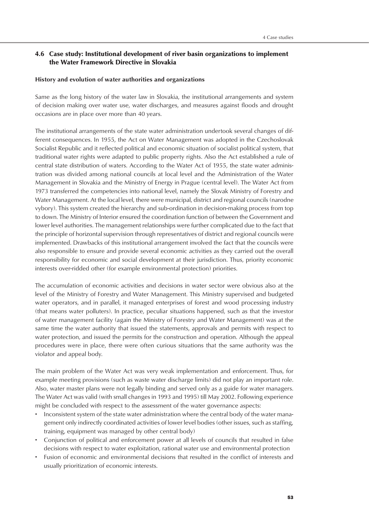# 4.6 Case study: Institutional development of river basin organizations to implement the Water Framework Directive in Slovakia

# **History and evolution of water authorities and organizations**

Same as the long history of the water law in Slovakia, the institutional arrangements and system of decision making over water use, water discharges, and measures against floods and drought occasions are in place over more than 40 years.

The institutional arrangements of the state water administration undertook several changes of different consequences. In 1955, the Act on Water Management was adopted in the Czechoslovak Socialist Republic and it reflected political and economic situation of socialist political system, that traditional water rights were adapted to public property rights. Also the Act established a rule of central state distribution of waters. According to the Water Act of 1955, the state water administration was divided among national councils at local level and the Administration of the Water Management in Slovakia and the Ministry of Energy in Prague (central level). The Water Act from 1973 transferred the competencies into national level, namely the Slovak Ministry of Forestry and Water Management. At the local level, there were municipal, district and regional councils (narodne vybory). This system created the hierarchy and sub-ordination in decision-making process from top to down. The Ministry of Interior ensured the coordination function of between the Government and lower level authorities. The management relationships were further complicated due to the fact that the principle of horizontal supervision through representatives of district and regional councils were implemented. Drawbacks of this institutional arrangement involved the fact that the councils were also responsible to ensure and provide several economic activities as they carried out the overall responsibility for economic and social development at their jurisdiction. Thus, priority economic interests over-ridded other (for example environmental protection) priorities.

The accumulation of economic activities and decisions in water sector were obvious also at the level of the Ministry of Forestry and Water Management. This Ministry supervised and budgeted water operators, and in parallel, it managed enterprises of forest and wood processing industry (that means water polluters). In practice, peculiar situations happened, such as that the investor of water management facility (again the Ministry of Forestry and Water Management) was at the same time the water authority that issued the statements, approvals and permits with respect to water protection, and issued the permits for the construction and operation. Although the appeal procedures were in place, there were often curious situations that the same authority was the violator and appeal body.

The main problem of the Water Act was very weak implementation and enforcement. Thus, for example meeting provisions (such as waste water discharge limits) did not play an important role. Also, water master plans were not legally binding and served only as a guide for water managers. The Water Act was valid (with small changes in 1993 and 1995) till May 2002. Following experience might be concluded with respect to the assessment of the water governance aspects:

- Inconsistent system of the state water administration where the central body of the water management only indirectly coordinated activities of lower level bodies (other issues, such as staffing, training, equipment was managed by other central body)
- Conjunction of political and enforcement power at all levels of councils that resulted in false decisions with respect to water exploitation, rational water use and environmental protection
- Fusion of economic and environmental decisions that resulted in the conflict of interests and usually prioritization of economic interests.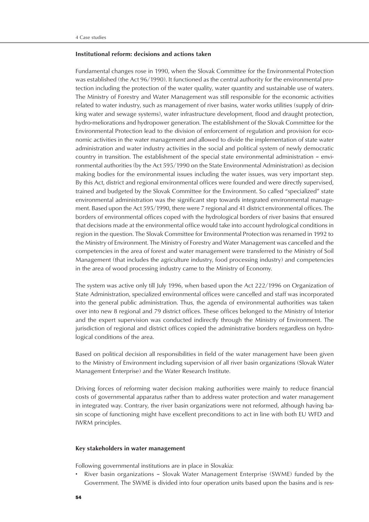# **Institutional reform: decisions and actions taken**

Fundamental changes rose in 1990, when the Slovak Committee for the Environmental Protection was established (the Act 96/1990). It functioned as the central authority for the environmental protection including the protection of the water quality, water quantity and sustainable use of waters. The Ministry of Forestry and Water Management was still responsible for the economic activities related to water industry, such as management of river basins, water works utilities (supply of drinking water and sewage systems), water infrastructure development, flood and draught protection, hydro-meliorations and hydropower generation. The establishment of the Slovak Committee for the Environmental Protection lead to the division of enforcement of regulation and provision for economic activities in the water management and allowed to divide the implementation of state water administration and water industry activities in the social and political system of newly democratic country in transition. The establishment of the special state environmental administration – environmental authorities (by the Act 595/1990 on the State Environmental Administration) as decision making bodies for the environmental issues including the water issues, was very important step. By this Act, district and regional environmental offices were founded and were directly supervised, trained and budgeted by the Slovak Committee for the Environment. So called "specialized" state environmental administration was the significant step towards integrated environmental management. Based upon the Act 595/1990, there were 7 regional and 41 district environmental offices. The borders of environmental offices coped with the hydrological borders of river basins that ensured that decisions made at the environmental office would take into account hydrological conditions in region in the question. The Slovak Committee for Environmental Protection was renamed in 1992 to the Ministry of Environment. The Ministry of Forestry and Water Management was cancelled and the competencies in the area of forest and water management were transferred to the Ministry of Soil Management (that includes the agriculture industry, food processing industry) and competencies in the area of wood processing industry came to the Ministry of Economy.

The system was active only till July 1996, when based upon the Act 222/1996 on Organization of State Administration, specialized environmental offices were cancelled and staff was incorporated into the general public administration. Thus, the agenda of environmental authorities was taken over into new 8 regional and 79 district offices. These offices belonged to the Ministry of Interior and the expert supervision was conducted indirectly through the Ministry of Environment. The jurisdiction of regional and district offices copied the administrative borders regardless on hydrological conditions of the area.

Based on political decision all responsibilities in field of the water management have been given to the Ministry of Environment including supervision of all river basin organizations (Slovak Water Management Enterprise) and the Water Research Institute.

Driving forces of reforming water decision making authorities were mainly to reduce financial costs of governmental apparatus rather than to address water protection and water management in integrated way. Contrary, the river basin organizations were not reformed, although having basin scope of functioning might have excellent preconditions to act in line with both EU WFD and IWRM principles.

#### **Key stakeholders in water management**

Following governmental institutions are in place in Slovakia:

• River basin organizations – Slovak Water Management Enterprise (SWME) funded by the Government. The SWME is divided into four operation units based upon the basins and is res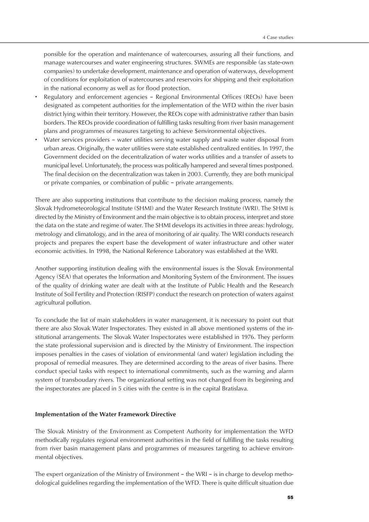ponsible for the operation and maintenance of watercourses, assuring all their functions, and manage watercourses and water engineering structures. SWMEs are responsible (as state-own companies) to undertake development, maintenance and operation of waterways, development of conditions for exploitation of watercourses and reservoirs for shipping and their exploitation in the national economy as well as for flood protection.

- Regulatory and enforcement agencies Regional Environmental Offices (REOs) have been designated as competent authorities for the implementation of the WFD within the river basin district lying within their territory. However, the REOs cope with administrative rather than basin borders. The REOs provide coordination of fulfilling tasks resulting from river basin management plans and programmes of measures targeting to achieve \$environmental objectives.
- Water services providers water utilities serving water supply and waste water disposal from urban areas. Originally, the water utilities were state established centralized entities. In 1997, the Government decided on the decentralization of water works utilities and a transfer of assets to municipal level. Unfortunately, the process was politically hampered and several times postponed. The final decision on the decentralization was taken in 2003. Currently, they are both municipal or private companies, or combination of public – private arrangements.

There are also supporting institutions that contribute to the decision making process, namely the Slovak Hydrometeorological Institute (SHMI) and the Water Research Institute (WRI). The SHMI is directed by the Ministry of Environment and the main objective is to obtain process, interpret and store the data on the state and regime of water. The SHMI develops its activities in three areas: hydrology, metrology and climatology, and in the area of monitoring of air quality. The WRI conducts research projects and prepares the expert base the development of water infrastructure and other water economic activities. In 1998, the National Reference Laboratory was established at the WRI.

Another supporting institution dealing with the environmental issues is the Slovak Environmental Agency (SEA) that operates the Information and Monitoring System of the Environment. The issues of the quality of drinking water are dealt with at the Institute of Public Health and the Research Institute of Soil Fertility and Protection (RISFP) conduct the research on protection of waters against agricultural pollution.

To conclude the list of main stakeholders in water management, it is necessary to point out that there are also Slovak Water Inspectorates. They existed in all above mentioned systems of the institutional arrangements. The Slovak Water Inspectorates were established in 1976. They perform the state professional supervision and is directed by the Ministry of Environment. The inspection imposes penalties in the cases of violation of environmental (and water) legislation including the proposal of remedial measures. They are determined according to the areas of river basins. There conduct special tasks with respect to international commitments, such as the warning and alarm system of transboudary rivers. The organizational setting was not changed from its beginning and the inspectorates are placed in 5 cities with the centre is in the capital Bratislava.

# **Implementation of the Water Framework Directive**

The Slovak Ministry of the Environment as Competent Authority for implementation the WFD methodically regulates regional environment authorities in the field of fulfilling the tasks resulting from river basin management plans and programmes of measures targeting to achieve environmental objectives.

The expert organization of the Ministry of Environment – the WRI – is in charge to develop methodological guidelines regarding the implementation of the WFD. There is quite difficult situation due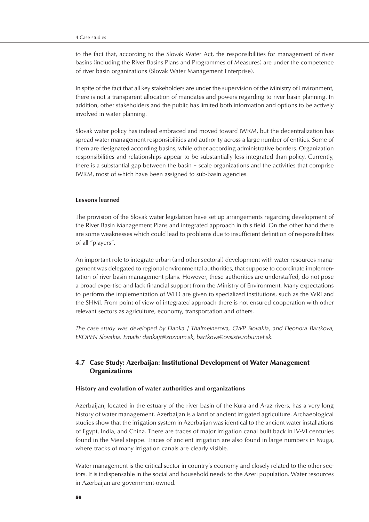to the fact that, according to the Slovak Water Act, the responsibilities for management of river basins (including the River Basins Plans and Programmes of Measures) are under the competence of river basin organizations (Slovak Water Management Enterprise).

In spite of the fact that all key stakeholders are under the supervision of the Ministry of Environment, there is not a transparent allocation of mandates and powers regarding to river basin planning. In addition, other stakeholders and the public has limited both information and options to be actively involved in water planning.

Slovak water policy has indeed embraced and moved toward IWRM, but the decentralization has spread water management responsibilities and authority across a large number of entities. Some of them are designated according basins, while other according administrative borders. Organization responsibilities and relationships appear to be substantially less integrated than policy. Currently, there is a substantial gap between the basin – scale organizations and the activities that comprise IWRM, most of which have been assigned to sub-basin agencies.

# **Lessons learned**

The provision of the Slovak water legislation have set up arrangements regarding development of the River Basin Management Plans and integrated approach in this field. On the other hand there are some weaknesses which could lead to problems due to insufficient definition of responsibilities of all "players".

An important role to integrate urban (and other sectoral) development with water resources management was delegated to regional environmental authorities, that suppose to coordinate implementation of river basin management plans. However, these authorities are understaffed, do not pose a broad expertise and lack financial support from the Ministry of Environment. Many expectations to perform the implementation of WFD are given to specialized institutions, such as the WRI and the SHMI. From point of view of integrated approach there is not ensured cooperation with other relevant sectors as agriculture, economy, transportation and others.

*The case study was developed by Danka J Thalmeinerova, GWP Slovakia, and Eleonora Bartkova, EKOPEN Slovakia. Emails: dankajt@zoznam.sk, bartkova@ovsiste.roburnet.sk.*

# 4.7 Case Study: Azerbaijan: Institutional Development of Water Management **Organizations**

#### **History and evolution of water authorities and organizations**

Azerbaijan, located in the estuary of the river basin of the Kura and Araz rivers, has a very long history of water management. Azerbaijan is a land of ancient irrigated agriculture. Archaeological studies show that the irrigation system in Azerbaijan was identical to the ancient water installations of Egypt, India, and China. There are traces of major irrigation canal built back in IV-VI centuries found in the Meel steppe. Traces of ancient irrigation are also found in large numbers in Muga, where tracks of many irrigation canals are clearly visible.

Water management is the critical sector in country's economy and closely related to the other sectors. It is indispensable in the social and household needs to the Azeri population. Water resources in Azerbaijan are government-owned.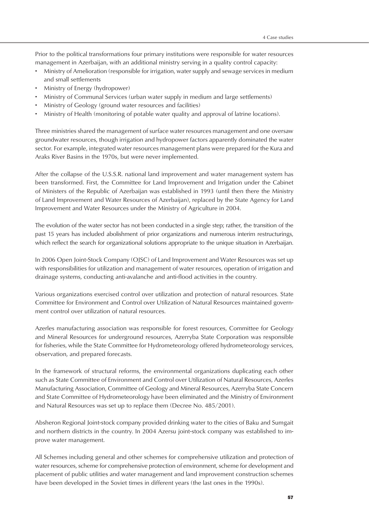Prior to the political transformations four primary institutions were responsible for water resources management in Azerbaijan, with an additional ministry serving in a quality control capacity:

- Ministry of Amelioration (responsible for irrigation, water supply and sewage services in medium and small settlements
- Ministry of Energy (hydropower)
- Ministry of Communal Services (urban water supply in medium and large settlements)
- Ministry of Geology (ground water resources and facilities)
- Ministry of Health (monitoring of potable water quality and approval of latrine locations).

Three ministries shared the management of surface water resources management and one oversaw groundwater resources, though irrigation and hydropower factors apparently dominated the water sector. For example, integrated water resources management plans were prepared for the Kura and Araks River Basins in the 1970s, but were never implemented.

After the collapse of the U.S.S.R. national land improvement and water management system has been transformed. First, the Committee for Land Improvement and Irrigation under the Cabinet of Ministers of the Republic of Azerbaijan was established in 1993 (until then there the Ministry of Land Improvement and Water Resources of Azerbaijan), replaced by the State Agency for Land Improvement and Water Resources under the Ministry of Agriculture in 2004.

The evolution of the water sector has not been conducted in a single step; rather, the transition of the past 15 years has included abolishment of prior organizations and numerous interim restructurings, which reflect the search for organizational solutions appropriate to the unique situation in Azerbaijan.

In 2006 Open Joint-Stock Company (OJSC) of Land Improvement and Water Resources was set up with responsibilities for utilization and management of water resources, operation of irrigation and drainage systems, conducting anti-avalanche and anti-flood activities in the country.

Various organizations exercised control over utilization and protection of natural resources. State Committee for Environment and Control over Utilization of Natural Resources maintained government control over utilization of natural resources.

Azerles manufacturing association was responsible for forest resources, Committee for Geology and Mineral Resources for underground resources, Azerryba State Corporation was responsible for fisheries, while the State Committee for Hydrometeorology offered hydrometeorology services, observation, and prepared forecasts.

In the framework of structural reforms, the environmental organizations duplicating each other such as State Committee of Environment and Control over Utilization of Natural Resources, Azerles Manufacturing Association, Committee of Geology and Mineral Resources, Azerryba State Concern and State Committee of Hydrometeorology have been eliminated and the Ministry of Environment and Natural Resources was set up to replace them (Decree No. 485/2001).

Absheron Regional Joint-stock company provided drinking water to the cities of Baku and Sumgait and northern districts in the country. In 2004 Azersu joint-stock company was established to improve water management.

All Schemes including general and other schemes for comprehensive utilization and protection of water resources, scheme for comprehensive protection of environment, scheme for development and placement of public utilities and water management and land improvement construction schemes have been developed in the Soviet times in different years (the last ones in the 1990s).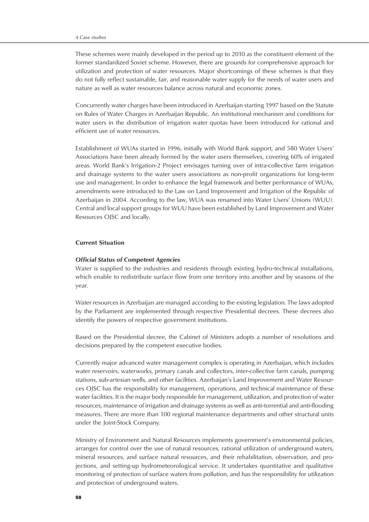These schemes were mainly developed in the period up to 2010 as the constituent element of the former standardized Soviet scheme. However, there are grounds for comprehensive approach for utilization and protection of water resources. Major shortcomings of these schemes is that they do not fully reflect sustainable, fair, and reasonable water supply for the needs of water users and nature as well as water resources balance across natural and economic zones.

Concurrently water charges have been introduced in Azerbaijan starting 1997 based on the Statute on Rules of Water Charges in Azerbaijan Republic. An institutional mechanism and conditions for water users in the distribution of irrigation water quotas have been introduced for rational and efficient use of water resources.

Establishment of WUAs started in 1996, initially with World Bank support, and 580 Water Users' Associations have been already formed by the water users themselves, covering 60% of irrigated areas. World Bank's Irrigation-2 Project envisages turning over of intra-collective farm irrigation and drainage systems to the water users associations as non-profit organizations for long-term use and management. In order to enhance the legal framework and better performance of WUAs, amendments were introduced to the Law on Land Improvement and Irrigation of the Republic of Azerbaijan in 2004. According to the law, WUA was renamed into Water Users' Unions (WUU). Central and local support groups for WUU have been established by Land Improvement and Water Resources OJSC and locally.

# **Current Situation**

#### *Official Status of Competent Agencies*

Water is supplied to the industries and residents through existing hydro-technical installations, which enable to redistribute surface flow from one territory into another and by seasons of the year.

Water resources in Azerbaijan are managed according to the existing legislation. The laws adopted by the Parliament are implemented through respective Presidential decrees. These decrees also identify the powers of respective government institutions.

Based on the Presidential decree, the Cabinet of Ministers adopts a number of resolutions and decisions prepared by the competent executive bodies.

Currently major advanced water management complex is operating in Azerbaijan, which includes water reservoirs, waterworks, primary canals and collectors, inter-collective farm canals, pumping stations, sub-artesian wells, and other facilities. Azerbaijan's Land Improvement and Water Resources OJSC has the responsibility for management, operations, and technical maintenance of these water facilities. It is the major body responsible for management, utilization, and protection of water resources, maintenance of irrigation and drainage systems as well as anti-torrential and anti-flooding measures. There are more than 100 regional maintenance departments and other structural units under the Joint-Stock Company.

Ministry of Environment and Natural Resources implements government's environmental policies, arranges for control over the use of natural resources, rational utilization of underground waters, mineral resources, and surface natural resources, and their rehabilitation, observation, and projections, and setting-up hydrometeorological service. It undertakes quantitative and qualitative monitoring of protection of surface waters from pollution, and has the responsibility for utilization and protection of underground waters.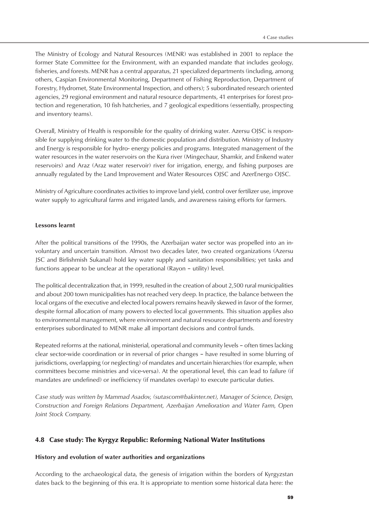The Ministry of Ecology and Natural Resources (MENR) was established in 2001 to replace the former State Committee for the Environment, with an expanded mandate that includes geology, fisheries, and forests. MENR has a central apparatus, 21 specialized departments (including, among others, Caspian Environmental Monitoring, Department of Fishing Reproduction, Department of Forestry, Hydromet, State Environmental Inspection, and others); 5 subordinated research oriented agencies, 29 regional environment and natural resource departments, 41 enterprises for forest protection and regeneration, 10 fish hatcheries, and 7 geological expeditions (essentially, prospecting and inventory teams).

Overall, Ministry of Health is responsible for the quality of drinking water. Azersu OJSC is responsible for supplying drinking water to the domestic population and distribution. Ministry of Industry and Energy is responsible for hydro- energy policies and programs. Integrated management of the water resources in the water reservoirs on the Kura river (Mingechaur, Shamkir, and Enikend water reservoirs) and Araz (Araz water reservoir) river for irrigation, energy, and fishing purposes are annually regulated by the Land Improvement and Water Resources OJSC and AzerEnergo OJSC.

Ministry of Agriculture coordinates activities to improve land yield, control over fertilizer use, improve water supply to agricultural farms and irrigated lands, and awareness raising efforts for farmers.

#### **Lessons learnt**

After the political transitions of the 1990s, the Azerbaijan water sector was propelled into an involuntary and uncertain transition. Almost two decades later, two created organizations (Azersu JSC and Birlishmish Sukanal) hold key water supply and sanitation responsibilities; yet tasks and functions appear to be unclear at the operational (Rayon – utility) level.

The political decentralization that, in 1999, resulted in the creation of about 2,500 rural municipalities and about 200 town municipalities has not reached very deep. In practice, the balance between the local organs of the executive and elected local powers remains heavily skewed in favor of the former, despite formal allocation of many powers to elected local governments. This situation applies also to environmental management, where environment and natural resource departments and forestry enterprises subordinated to MENR make all important decisions and control funds.

Repeated reforms at the national, ministerial, operational and community levels – often times lacking clear sector-wide coordination or in reversal of prior changes – have resulted in some blurring of jurisdictions, overlapping (or neglecting) of mandates and uncertain hierarchies (for example, when committees become ministries and vice-versa). At the operational level, this can lead to failure (if mandates are undefined) or inefficiency (if mandates overlap) to execute particular duties.

*Case study was written by Mammad Asadov, (sutascom@bakinter.net), Manager of Science, Design, Construction and Foreign Relations Department, Azerbaijan Amelioration and Water Farm, Open Joint Stock Company.*

# 4.8 Case study: The Kyrgyz Republic: Reforming National Water Institutions

#### **History and evolution of water authorities and organizations**

According to the archaeological data, the genesis of irrigation within the borders of Kyrgyzstan dates back to the beginning of this era. It is appropriate to mention some historical data here: the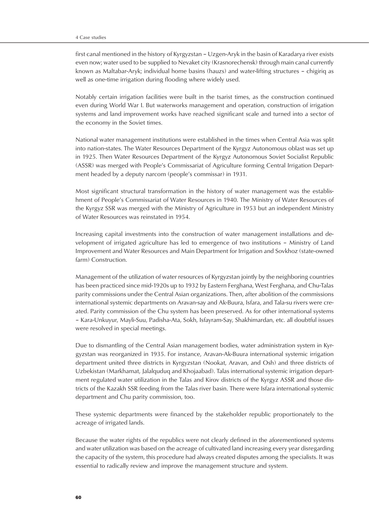first canal mentioned in the history of Kyrgyzstan – Uzgen-Aryk in the basin of Karadarya river exists even now; water used to be supplied to Nevaket city (Krasnorechensk) through main canal currently known as Maltabar-Aryk; individual home basins (hauzs) and water-lifting structures – chigiriq as well as one-time irrigation during flooding where widely used.

Notably certain irrigation facilities were built in the tsarist times, as the construction continued even during World War I. But waterworks management and operation, construction of irrigation systems and land improvement works have reached significant scale and turned into a sector of the economy in the Soviet times.

National water management institutions were established in the times when Central Asia was split into nation-states. The Water Resources Department of the Kyrgyz Autonomous oblast was set up in 1925. Then Water Resources Department of the Kyrgyz Autonomous Soviet Socialist Republic (ASSR) was merged with People's Commissariat of Agriculture forming Central Irrigation Department headed by a deputy narcom (people's commissar) in 1931.

Most significant structural transformation in the history of water management was the establishment of People's Commissariat of Water Resources in 1940. The Ministry of Water Resources of the Kyrgyz SSR was merged with the Ministry of Agriculture in 1953 but an independent Ministry of Water Resources was reinstated in 1954.

Increasing capital investments into the construction of water management installations and development of irrigated agriculture has led to emergence of two institutions – Ministry of Land Improvement and Water Resources and Main Department for Irrigation and Sovkhoz (state-owned farm) Construction.

Management of the utilization of water resources of Kyrgyzstan jointly by the neighboring countries has been practiced since mid-1920s up to 1932 by Eastern Ferghana, West Ferghana, and Chu-Talas parity commissions under the Central Asian organizations. Then, after abolition of the commissions international systemic departments on Aravan-say and Ak-Buura, Isfara, and Tala-su rivers were created. Parity commission of the Chu system has been preserved. As for other international systems – Kara-Unkuyur, Mayli-Suu, Padisha-Ata, Sokh, Isfayram-Say, Shakhimardan, etc. all doubtful issues were resolved in special meetings.

Due to dismantling of the Central Asian management bodies, water administration system in Kyrgyzstan was reorganized in 1935. For instance, Aravan-Ak-Buura international systemic irrigation department united three districts in Kyrgyzstan (Nookat, Aravan, and Osh) and three districts of Uzbekistan (Markhamat, Jalalquduq and Khojaabad). Talas international systemic irrigation department regulated water utilization in the Talas and Kirov districts of the Kyrgyz ASSR and those districts of the Kazakh SSR feeding from the Talas river basin. There were Isfara international systemic department and Chu parity commission, too.

These systemic departments were financed by the stakeholder republic proportionately to the acreage of irrigated lands.

Because the water rights of the republics were not clearly defined in the aforementioned systems and water utilization was based on the acreage of cultivated land increasing every year disregarding the capacity of the system, this procedure had always created disputes among the specialists. It was essential to radically review and improve the management structure and system.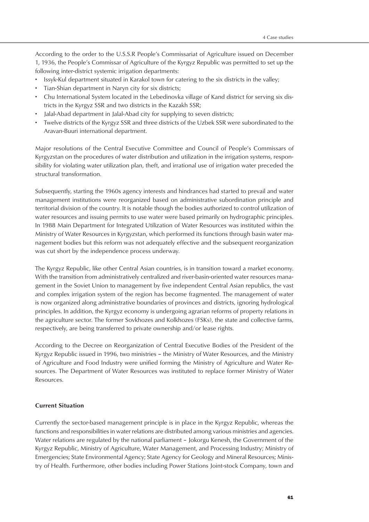According to the order to the U.S.S.R People's Commissariat of Agriculture issued on December 1, 1936, the People's Commissar of Agriculture of the Kyrgyz Republic was permitted to set up the following inter-district systemic irrigation departments:

- Issyk-Kul department situated in Karakol town for catering to the six districts in the valley;
- Tian-Shian department in Naryn city for six districts;
- Chu International System located in the Lebedinovka village of Kand district for serving six districts in the Kyrgyz SSR and two districts in the Kazakh SSR;
- Jalal-Abad department in Jalal-Abad city for supplying to seven districts;
- Twelve districts of the Kyrgyz SSR and three districts of the Uzbek SSR were subordinated to the Aravan-Buuri international department.

Major resolutions of the Central Executive Committee and Council of People's Commissars of Kyrgyzstan on the procedures of water distribution and utilization in the irrigation systems, responsibility for violating water utilization plan, theft, and irrational use of irrigation water preceded the structural transformation.

Subsequently, starting the 1960s agency interests and hindrances had started to prevail and water management institutions were reorganized based on administrative subordination principle and territorial division of the country. It is notable though the bodies authorized to control utilization of water resources and issuing permits to use water were based primarily on hydrographic principles. In 1988 Main Department for Integrated Utilization of Water Resources was instituted within the Ministry of Water Resources in Kyrgyzstan, which performed its functions through basin water management bodies but this reform was not adequately effective and the subsequent reorganization was cut short by the independence process underway.

The Kyrgyz Republic, like other Central Asian countries, is in transition toward a market economy. With the transition from administratively centralized and river-basin-oriented water resources management in the Soviet Union to management by five independent Central Asian republics, the vast and complex irrigation system of the region has become fragmented. The management of water is now organized along administrative boundaries of provinces and districts, ignoring hydrological principles. In addition, the Kyrgyz economy is undergoing agrarian reforms of property relations in the agriculture sector. The former Sovkhozes and Kolkhozes (FSKs), the state and collective farms, respectively, are being transferred to private ownership and/or lease rights.

According to the Decree on Reorganization of Central Executive Bodies of the President of the Kyrgyz Republic issued in 1996, two ministries – the Ministry of Water Resources, and the Ministry of Agriculture and Food Industry were unified forming the Ministry of Agriculture and Water Resources. The Department of Water Resources was instituted to replace former Ministry of Water Resources.

# **Current Situation**

Currently the sector-based management principle is in place in the Kyrgyz Republic, whereas the functions and responsibilities in water relations are distributed among various ministries and agencies. Water relations are regulated by the national parliament – Jokorgu Kenesh, the Government of the Kyrgyz Republic, Ministry of Agriculture, Water Management, and Processing Industry; Ministry of Emergencies; State Environmental Agency; State Agency for Geology and Mineral Resources; Ministry of Health. Furthermore, other bodies including Power Stations Joint-stock Company, town and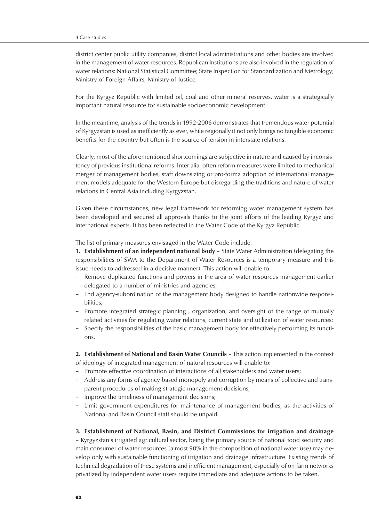district center public utility companies, district local administrations and other bodies are involved in the management of water resources. Republican institutions are also involved in the regulation of water relations: National Statistical Committee; State Inspection for Standardization and Metrology; Ministry of Foreign Affairs; Ministry of Justice.

For the Kyrgyz Republic with limited oil, coal and other mineral reserves, water is a strategically important natural resource for sustainable socioeconomic development.

In the meantime, analysis of the trends in 1992-2006 demonstrates that tremendous water potential of Kyrgyzstan is used as inefficiently as ever, while regionally it not only brings no tangible economic benefits for the country but often is the source of tension in interstate relations.

Clearly, most of the aforementioned shortcomings are subjective in nature and caused by inconsistency of previous institutional reforms. Inter alia, often reform measures were limited to mechanical merger of management bodies, staff downsizing or pro-forma adoption of international management models adequate for the Western Europe but disregarding the traditions and nature of water relations in Central Asia including Kyrgyzstan.

Given these circumstances, new legal framework for reforming water management system has been developed and secured all approvals thanks to the joint efforts of the leading Kyrgyz and international experts. It has been reflected in the Water Code of the Kyrgyz Republic.

The list of primary measures envisaged in the Water Code include:

**1. Establishment of an independent national body** – State Water Administration (delegating the responsibilities of SWA to the Department of Water Resources is a temporary measure and this issue needs to addressed in a decisive manner). This action will enable to:

- Remove duplicated functions and powers in the area of water resources management earlier delegated to a number of ministries and agencies;
- End agency-subordination of the management body designed to handle nationwide responsibilities;
- Promote integrated strategic planning , organization, and oversight of the range of mutually related activities for regulating water relations, current state and utilization of water resources;
- Specify the responsibilities of the basic management body for effectively performing its functions.

**2. Establishment of National and Basin Water Councils** – This action implemented in the context of ideology of integrated management of natural resources will enable to:

- Promote effective coordination of interactions of all stakeholders and water users;
- Address any forms of agency-based monopoly and corruption by means of collective and transparent procedures of making strategic management decisions;
- Improve the timeliness of management decisions;
- Limit government expenditures for maintenance of management bodies, as the activities of National and Basin Council staff should be unpaid.

# **3. Establishment of National, Basin, and District Commissions for irrigation and drainage**

– Kyrgyzstan's irrigated agricultural sector, being the primary source of national food security and main consumer of water resources (almost 90% in the composition of national water use) may develop only with sustainable functioning of irrigation and drainage infrastructure. Existing trends of technical degradation of these systems and inefficient management, especially of on-farm networks privatized by independent water users require immediate and adequate actions to be taken.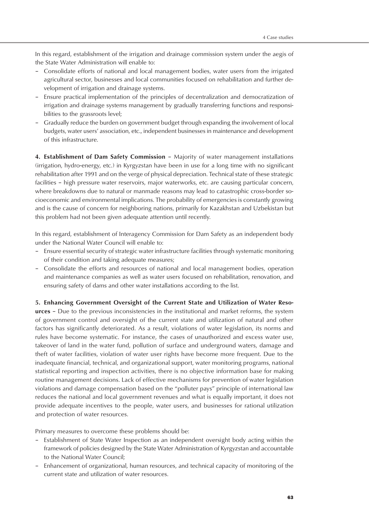In this regard, establishment of the irrigation and drainage commission system under the aegis of the State Water Administration will enable to:

- Consolidate efforts of national and local management bodies, water users from the irrigated agricultural sector, businesses and local communities focused on rehabilitation and further development of irrigation and drainage systems.
- Ensure practical implementation of the principles of decentralization and democratization of irrigation and drainage systems management by gradually transferring functions and responsibilities to the grassroots level;
- Gradually reduce the burden on government budget through expanding the involvement of local budgets, water users' association, etc., independent businesses in maintenance and development of this infrastructure.

**4. Establishment of Dam Safety Commission** – Majority of water management installations (irrigation, hydro-energy, etc.) in Kyrgyzstan have been in use for a long time with no significant rehabilitation after 1991 and on the verge of physical depreciation. Technical state of these strategic facilities – high pressure water reservoirs, major waterworks, etc. are causing particular concern, where breakdowns due to natural or manmade reasons may lead to catastrophic cross-border socioeconomic and environmental implications. The probability of emergencies is constantly growing and is the cause of concern for neighboring nations, primarily for Kazakhstan and Uzbekistan but this problem had not been given adequate attention until recently.

In this regard, establishment of Interagency Commission for Dam Safety as an independent body under the National Water Council will enable to:

- Ensure essential security of strategic water infrastructure facilities through systematic monitoring of their condition and taking adequate measures;
- Consolidate the efforts and resources of national and local management bodies, operation and maintenance companies as well as water users focused on rehabilitation, renovation, and ensuring safety of dams and other water installations according to the list.

**5. Enhancing Government Oversight of the Current State and Utilization of Water Resources** – Due to the previous inconsistencies in the institutional and market reforms, the system of government control and oversight of the current state and utilization of natural and other factors has significantly deteriorated. As a result, violations of water legislation, its norms and rules have become systematic. For instance, the cases of unauthorized and excess water use, takeover of land in the water fund, pollution of surface and underground waters, damage and theft of water facilities, violation of water user rights have become more frequent. Due to the inadequate financial, technical, and organizational support, water monitoring programs, national statistical reporting and inspection activities, there is no objective information base for making routine management decisions. Lack of effective mechanisms for prevention of water legislation violations and damage compensation based on the "polluter pays" principle of international law reduces the national and local government revenues and what is equally important, it does not provide adequate incentives to the people, water users, and businesses for rational utilization and protection of water resources.

Primary measures to overcome these problems should be:

- Establishment of State Water Inspection as an independent oversight body acting within the framework of policies designed by the State Water Administration of Kyrgyzstan and accountable to the National Water Council;
- Enhancement of organizational, human resources, and technical capacity of monitoring of the current state and utilization of water resources.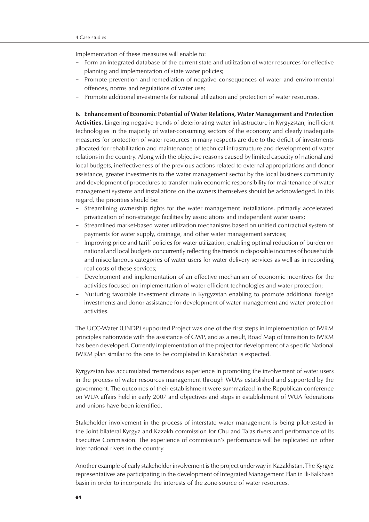Implementation of these measures will enable to:

- Form an integrated database of the current state and utilization of water resources for effective planning and implementation of state water policies;
- Promote prevention and remediation of negative consequences of water and environmental offences, norms and regulations of water use;
- Promote additional investments for rational utilization and protection of water resources.

#### **6. Enhancement of Economic Potential of Water Relations, Water Management and Protection**

**Activities.** Lingering negative trends of deteriorating water infrastructure in Kyrgyzstan, inefficient technologies in the majority of water-consuming sectors of the economy and clearly inadequate measures for protection of water resources in many respects are due to the deficit of investments allocated for rehabilitation and maintenance of technical infrastructure and development of water relations in the country. Along with the objective reasons caused by limited capacity of national and local budgets, ineffectiveness of the previous actions related to external appropriations and donor assistance, greater investments to the water management sector by the local business community and development of procedures to transfer main economic responsibility for maintenance of water management systems and installations on the owners themselves should be acknowledged. In this regard, the priorities should be:

- Streamlining ownership rights for the water management installations, primarily accelerated privatization of non-strategic facilities by associations and independent water users;
- Streamlined market-based water utilization mechanisms based on unified contractual system of payments for water supply, drainage, and other water management services;
- Improving price and tariff policies for water utilization, enabling optimal reduction of burden on national and local budgets concurrently reflecting the trends in disposable incomes of households and miscellaneous categories of water users for water delivery services as well as in recording real costs of these services;
- Development and implementation of an effective mechanism of economic incentives for the activities focused on implementation of water efficient technologies and water protection;
- Nurturing favorable investment climate in Kyrgyzstan enabling to promote additional foreign investments and donor assistance for development of water management and water protection activities.

The UCC-Water (UNDP) supported Project was one of the first steps in implementation of IWRM principles nationwide with the assistance of GWP, and as a result, Road Map of transition to IWRM has been developed. Currently implementation of the project for development of a specific National IWRM plan similar to the one to be completed in Kazakhstan is expected.

Kyrgyzstan has accumulated tremendous experience in promoting the involvement of water users in the process of water resources management through WUAs established and supported by the government. The outcomes of their establishment were summarized in the Republican conference on WUA affairs held in early 2007 and objectives and steps in establishment of WUA federations and unions have been identified.

Stakeholder involvement in the process of interstate water management is being pilot-tested in the Joint bilateral Kyrgyz and Kazakh commission for Chu and Talas rivers and performance of its Executive Commission. The experience of commission's performance will be replicated on other international rivers in the country.

Another example of early stakeholder involvement is the project underway in Kazakhstan. The Kyrgyz representatives are participating in the development of Integrated Management Plan in Ili-Balkhash basin in order to incorporate the interests of the zone-source of water resources.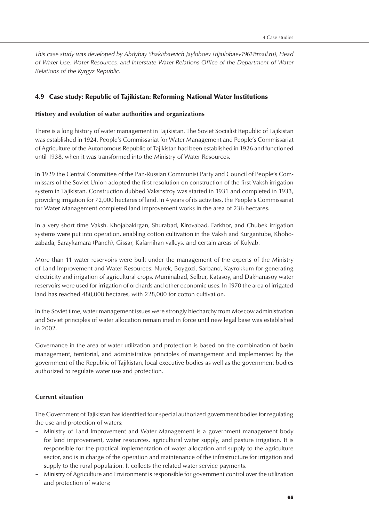*This case study was developed by Abdybay Shakirbaevich Jayloboev (djailobaev1961@mail.ru), Head of Water Use, Water Resources, and Interstate Water Relations Office of the Department of Water Relations of the Kyrgyz Republic.*

# 4.9 Case study: Republic of Tajikistan: Reforming National Water Institutions

# **History and evolution of water authorities and organizations**

There is a long history of water management in Tajikistan. The Soviet Socialist Republic of Tajikistan was established in 1924. People's Commissariat for Water Management and People's Commissariat of Agriculture of the Autonomous Republic of Tajikistan had been established in 1926 and functioned until 1938, when it was transformed into the Ministry of Water Resources.

In 1929 the Central Committee of the Pan-Russian Communist Party and Council of People's Commissars of the Soviet Union adopted the first resolution on construction of the first Vaksh irrigation system in Tajikistan. Construction dubbed Vakshstroy was started in 1931 and completed in 1933, providing irrigation for 72,000 hectares of land. In 4 years of its activities, the People's Commissariat for Water Management completed land improvement works in the area of 236 hectares.

In a very short time Vaksh, Khojabakirgan, Shurabad, Kirovabad, Farkhor, and Chubek irrigation systems were put into operation, enabling cotton cultivation in the Vaksh and Kurgantube, Khohozabada, Saraykamara (Panch), Gissar, Kafarnihan valleys, and certain areas of Kulyab.

More than 11 water reservoirs were built under the management of the experts of the Ministry of Land Improvement and Water Resources: Nurek, Boygozi, Sarband, Kayrokkum for generating electricity and irrigation of agricultural crops. Muminabad, Selbur, Katasoy, and Dakhanasoy water reservoirs were used for irrigation of orchards and other economic uses. In 1970 the area of irrigated land has reached 480,000 hectares, with 228,000 for cotton cultivation.

In the Soviet time, water management issues were strongly hiecharchy from Moscow administration and Soviet principles of water allocation remain ined in force until new legal base was established in 2002.

Governance in the area of water utilization and protection is based on the combination of basin management, territorial, and administrative principles of management and implemented by the government of the Republic of Tajikistan, local executive bodies as well as the government bodies authorized to regulate water use and protection.

# **Current situation**

The Government of Tajikistan has identified four special authorized government bodies for regulating the use and protection of waters:

- Ministry of Land Improvement and Water Management is a government management body for land improvement, water resources, agricultural water supply, and pasture irrigation. It is responsible for the practical implementation of water allocation and supply to the agriculture sector, and is in charge of the operation and maintenance of the infrastructure for irrigation and supply to the rural population. It collects the related water service payments.
- Ministry of Agriculture and Environment is responsible for government control over the utilization and protection of waters;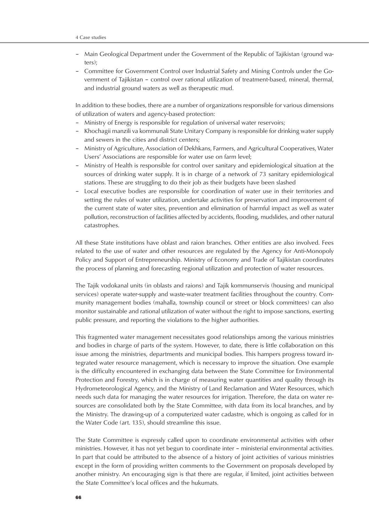- Main Geological Department under the Government of the Republic of Tajikistan (ground waters);
- Committee for Government Control over Industrial Safety and Mining Controls under the Government of Tajikistan – control over rational utilization of treatment-based, mineral, thermal, and industrial ground waters as well as therapeutic mud.

In addition to these bodies, there are a number of organizations responsible for various dimensions of utilization of waters and agency-based protection:

- Ministry of Energy is responsible for regulation of universal water reservoirs;
- Khochagii manzili va kommunali State Unitary Company is responsible for drinking water supply and sewers in the cities and district centers;
- Ministry of Agriculture, Association of Dekhkans, Farmers, and Agricultural Cooperatives, Water Users' Associations are responsible for water use on farm level;
- Ministry of Health is responsible for control over sanitary and epidemiological situation at the sources of drinking water supply. It is in charge of a network of 73 sanitary epidemiological stations. These are struggling to do their job as their budgets have been slashed
- Local executive bodies are responsible for coordination of water use in their territories and setting the rules of water utilization, undertake activities for preservation and improvement of the current state of water sites, prevention and elimination of harmful impact as well as water pollution, reconstruction of facilities affected by accidents, flooding, mudslides, and other natural catastrophes.

All these State institutions have oblast and raion branches. Other entities are also involved. Fees related to the use of water and other resources are regulated by the Agency for Anti-Monopoly Policy and Support of Entrepreneurship. Ministry of Economy and Trade of Tajikistan coordinates the process of planning and forecasting regional utilization and protection of water resources.

The Tajik vodokanal units (in oblasts and raions) and Tajik kommunservis (housing and municipal services) operate water-supply and waste-water treatment facilities throughout the country. Community management bodies (mahalla, township council or street or block committees) can also monitor sustainable and rational utilization of water without the right to impose sanctions, exerting public pressure, and reporting the violations to the higher authorities.

This fragmented water management necessitates good relationships among the various ministries and bodies in charge of parts of the system. However, to date, there is little collaboration on this issue among the ministries, departments and municipal bodies. This hampers progress toward integrated water resource management, which is necessary to improve the situation. One example is the difficulty encountered in exchanging data between the State Committee for Environmental Protection and Forestry, which is in charge of measuring water quantities and quality through its Hydrometeorological Agency, and the Ministry of Land Reclamation and Water Resources, which needs such data for managing the water resources for irrigation. Therefore, the data on water resources are consolidated both by the State Committee, with data from its local branches, and by the Ministry. The drawing-up of a computerized water cadastre, which is ongoing as called for in the Water Code (art. 135), should streamline this issue.

The State Committee is expressly called upon to coordinate environmental activities with other ministries. However, it has not yet begun to coordinate inter – ministerial environmental activities. In part that could be attributed to the absence of a history of joint activities of various ministries except in the form of providing written comments to the Government on proposals developed by another ministry. An encouraging sign is that there are regular, if limited, joint activities between the State Committee's local offices and the hukumats.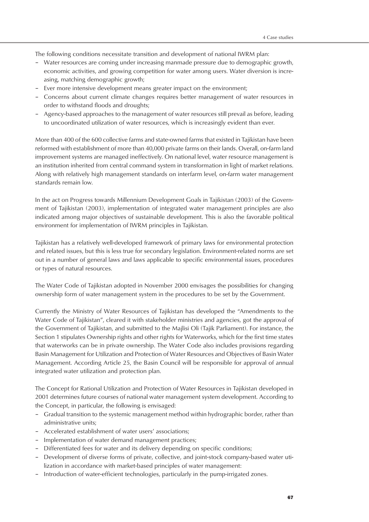The following conditions necessitate transition and development of national IWRM plan:

- Water resources are coming under increasing manmade pressure due to demographic growth, economic activities, and growing competition for water among users. Water diversion is increasing, matching demographic growth;
- Ever more intensive development means greater impact on the environment;
- Concerns about current climate changes requires better management of water resources in order to withstand floods and droughts;
- Agency-based approaches to the management of water resources still prevail as before, leading to uncoordinated utilization of water resources, which is increasingly evident than ever.

More than 400 of the 600 collective farms and state-owned farms that existed in Tajikistan have been reformed with establishment of more than 40,000 private farms on their lands. Overall, on-farm land improvement systems are managed ineffectively. On national level, water resource management is an institution inherited from central command system in transformation in light of market relations. Along with relatively high management standards on interfarm level, on-farm water management standards remain low.

In the act on Progress towards Millennium Development Goals in Tajikistan (2003) of the Government of Tajikistan (2003), implementation of integrated water management principles are also indicated among major objectives of sustainable development. This is also the favorable political environment for implementation of IWRM principles in Tajikistan.

Tajikistan has a relatively well-developed framework of primary laws for environmental protection and related issues, but this is less true for secondary legislation. Environment-related norms are set out in a number of general laws and laws applicable to specific environmental issues, procedures or types of natural resources.

The Water Code of Tajikistan adopted in November 2000 envisages the possibilities for changing ownership form of water management system in the procedures to be set by the Government.

Currently the Ministry of Water Resources of Tajikistan has developed the "Amendments to the Water Code of Tajikistan", cleared it with stakeholder ministries and agencies, got the approval of the Government of Tajikistan, and submitted to the Majlisi Oli (Tajik Parliament). For instance, the Section 1 stipulates Ownership rights and other rights for Waterworks, which for the first time states that waterworks can be in private ownership. The Water Code also includes provisions regarding Basin Management for Utilization and Protection of Water Resources and Objectives of Basin Water Management. According Article 25, the Basin Council will be responsible for approval of annual integrated water utilization and protection plan.

The Concept for Rational Utilization and Protection of Water Resources in Tajikistan developed in 2001 determines future courses of national water management system development. According to the Concept, in particular, the following is envisaged:

- Gradual transition to the systemic management method within hydrographic border, rather than administrative units;
- Accelerated establishment of water users' associations;
- Implementation of water demand management practices;
- Differentiated fees for water and its delivery depending on specific conditions;
- Development of diverse forms of private, collective, and joint-stock company-based water utilization in accordance with market-based principles of water management:
- Introduction of water-efficient technologies, particularly in the pump-irrigated zones.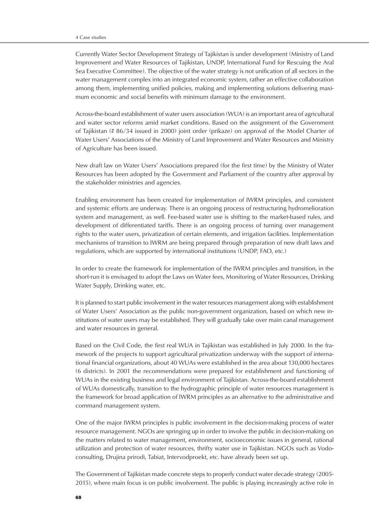Currently Water Sector Development Strategy of Tajikistan is under development (Ministry of Land Improvement and Water Resources of Tajikistan, UNDP, International Fund for Rescuing the Aral Sea Executive Committee). The objective of the water strategy is not unification of all sectors in the water management complex into an integrated economic system, rather an effective collaboration among them, implementing unified policies, making and implementing solutions delivering maximum economic and social benefits with minimum damage to the environment.

Across-the-board establishment of water users association (WUA) is an important area of agricultural and water sector reforms amid market conditions. Based on the assignment of the Government of Tajikistan (# 86/34 issued in 2000) joint order (prikaze) on approval of the Model Charter of Water Users' Associations of the Ministry of Land Improvement and Water Resources and Ministry of Agriculture has been issued.

New draft law on Water Users' Associations prepared (for the first time) by the Ministry of Water Resources has been adopted by the Government and Parliament of the country after approval by the stakeholder ministries and agencies.

Enabling environment has been created for implementation of IWRM principles, and consistent and systemic efforts are underway. There is an ongoing process of restructuring hydromelioration system and management, as well. Fee-based water use is shifting to the market-based rules, and development of differentiated tariffs. There is an ongoing process of turning over management rights to the water users, privatization of certain elements, and irrigation facilities. Implementation mechanisms of transition to IWRM are being prepared through preparation of new draft laws and regulations, which are supported by international institutions (UNDP, FAO, etc.)

In order to create the framework for implementation of the IWRM principles and transition, in the short-run it is envisaged to adopt the Laws on Water fees, Monitoring of Water Resources, Drinking Water Supply, Drinking water, etc.

It is planned to start public involvement in the water resources management along with establishment of Water Users' Association as the public non-government organization, based on which new institutions of water users may be established. They will gradually take over main canal management and water resources in general.

Based on the Civil Code, the first real WUA in Tajikistan was established in July 2000. In the framework of the projects to support agricultural privatization underway with the support of international financial organizations, about 40 WUAs were established in the area about 130,000 hectares (6 districts). In 2001 the recommendations were prepared for establishment and functioning of WUAs in the existing business and legal environment of Tajikistan. Across-the-board establishment of WUAs domestically, transition to the hydrographic principle of water resources management is the framework for broad application of IWRM principles as an alternative to the administrative and command management system.

One of the major IWRM principles is public involvement in the decision-making process of water resource management. NGOs are springing up in order to involve the public in decision-making on the matters related to water management, environment, socioeconomic issues in general, rational utilization and protection of water resources, thrifty water use in Tajikistan. NGOs such as Vodoconsulting, Drujina prirodi, Tabiat, Intervodproekt, etc. have already been set up.

The Government of Tajikistan made concrete steps to properly conduct water decade strategy (2005- 2015), where main focus is on public involvement. The public is playing increasingly active role in